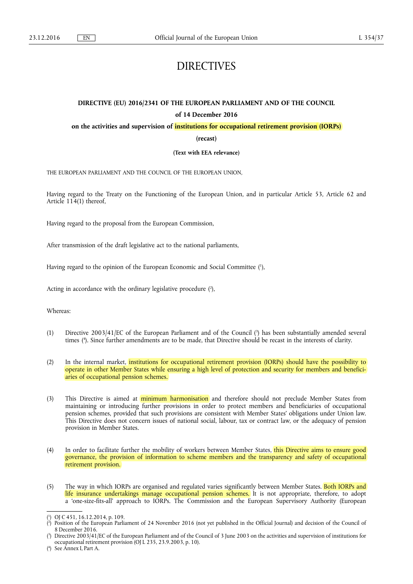# DIRECTIVES

# **DIRECTIVE (EU) 2016/2341 OF THE EUROPEAN PARLIAMENT AND OF THE COUNCIL of 14 December 2016**

**on the activities and supervision of institutions for occupational retirement provision (IORPs)** 

**(recast)** 

**(Text with EEA relevance)** 

THE EUROPEAN PARLIAMENT AND THE COUNCIL OF THE EUROPEAN UNION,

Having regard to the Treaty on the Functioning of the European Union, and in particular Article 53, Article 62 and Article 114(1) thereof,

Having regard to the proposal from the European Commission,

After transmission of the draft legislative act to the national parliaments,

Having regard to the opinion of the European Economic and Social Committee ( 1 ),

Acting in accordance with the ordinary legislative procedure (2),

Whereas:

- (1) Directive 2003/41/EC of the European Parliament and of the Council ( 3 ) has been substantially amended several times ( 4 ). Since further amendments are to be made, that Directive should be recast in the interests of clarity.
- (2) In the internal market, institutions for occupational retirement provision (IORPs) should have the possibility to operate in other Member States while ensuring a high level of protection and security for members and beneficiaries of occupational pension schemes.
- (3) This Directive is aimed at *minimum harmonisation* and therefore should not preclude Member States from maintaining or introducing further provisions in order to protect members and beneficiaries of occupational pension schemes, provided that such provisions are consistent with Member States' obligations under Union law. This Directive does not concern issues of national social, labour, tax or contract law, or the adequacy of pension provision in Member States.
- (4) In order to facilitate further the mobility of workers between Member States, this Directive aims to ensure good governance, the provision of information to scheme members and the transparency and safety of occupational retirement provision.
- (5) The way in which IORPs are organised and regulated varies significantly between Member States. Both IORPs and life insurance undertakings manage occupational pension schemes. It is not appropriate, therefore, to adopt a 'one-size-fits-all' approach to IORPs. The Commission and the European Supervisory Authority (European

<sup>(</sup> 1 ) OJ C 451, 16.12.2014, p. 109.

<sup>(</sup> 2 ) Position of the European Parliament of 24 November 2016 (not yet published in the Official Journal) and decision of the Council of 8 December 2016.

<sup>(</sup> 3 ) Directive 2003/41/EC of the European Parliament and of the Council of 3 June 2003 on the activities and supervision of institutions for occupational retirement provision (OJ L 235, 23.9.2003, p. 10).

<sup>(</sup> 4 ) See Annex I, Part A.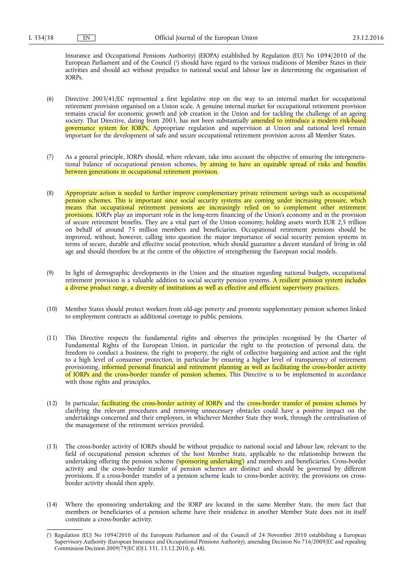Insurance and Occupational Pensions Authority) (EIOPA) established by Regulation (EU) No 1094/2010 of the European Parliament and of the Council ( 1 ) should have regard to the various traditions of Member States in their activities and should act without prejudice to national social and labour law in determining the organisation of IORPs.

- (6) Directive 2003/41/EC represented a first legislative step on the way to an internal market for occupational retirement provision organised on a Union scale. A genuine internal market for occupational retirement provision remains crucial for economic growth and job creation in the Union and for tackling the challenge of an ageing society. That Directive, dating from 2003, has not been substantially amended to introduce a modern risk-based governance system for IORPs. Appropriate regulation and supervision at Union and national level remain important for the development of safe and secure occupational retirement provision across all Member States.
- (7) As a general principle, IORPs should, where relevant, take into account the objective of ensuring the intergenerational balance of occupational pension schemes, by aiming to have an equitable spread of risks and benefits between generations in occupational retirement provision.
- (8) Appropriate action is needed to further improve complementary private retirement savings such as occupational pension schemes. This is important since social security systems are coming under increasing pressure, which means that occupational retirement pensions are increasingly relied on to complement other retirement provisions. IORPs play an important role in the long-term financing of the Union's economy and in the provision of secure retirement benefits. They are a vital part of the Union economy, holding assets worth EUR 2,5 trillion on behalf of around 75 million members and beneficiaries. Occupational retirement pensions should be improved, without, however, calling into question the major importance of social security pension systems in terms of secure, durable and effective social protection, which should guarantee a decent standard of living in old age and should therefore be at the centre of the objective of strengthening the European social models.
- (9) In light of demographic developments in the Union and the situation regarding national budgets, occupational retirement provision is a valuable addition to social security pension systems. A resilient pension system includes a diverse product range, a diversity of institutions as well as effective and efficient supervisory practices.
- (10) Member States should protect workers from old-age poverty and promote supplementary pension schemes linked to employment contracts as additional coverage to public pensions.
- (11) This Directive respects the fundamental rights and observes the principles recognised by the Charter of Fundamental Rights of the European Union, in particular the right to the protection of personal data, the freedom to conduct a business, the right to property, the right of collective bargaining and action and the right to a high level of consumer protection, in particular by ensuring a higher level of transparency of retirement provisioning, informed personal financial and retirement planning as well as facilitating the cross-border activity of IORPs and the cross-border transfer of pension schemes. This Directive is to be implemented in accordance with those rights and principles.
- (12) In particular, facilitating the cross-border activity of IORPs and the cross-border transfer of pension schemes by clarifying the relevant procedures and removing unnecessary obstacles could have a positive impact on the undertakings concerned and their employees, in whichever Member State they work, through the centralisation of the management of the retirement services provided.
- (13) The cross-border activity of IORPs should be without prejudice to national social and labour law, relevant to the field of occupational pension schemes of the host Member State, applicable to the relationship between the undertaking offering the pension scheme ('sponsoring undertaking') and members and beneficiaries. Cross-border activity and the cross-border transfer of pension schemes are distinct and should be governed by different provisions. If a cross-border transfer of a pension scheme leads to cross-border activity, the provisions on crossborder activity should then apply.
- (14) Where the sponsoring undertaking and the IORP are located in the same Member State, the mere fact that members or beneficiaries of a pension scheme have their residence in another Member State does not in itself constitute a cross-border activity.

<sup>(</sup> 1 ) Regulation (EU) No 1094/2010 of the European Parliament and of the Council of 24 November 2010 establishing a European Supervisory Authority (European Insurance and Occupational Pensions Authority), amending Decision No 716/2009/EC and repealing Commission Decision 2009/79/EC (OJ L 331, 15.12.2010, p. 48).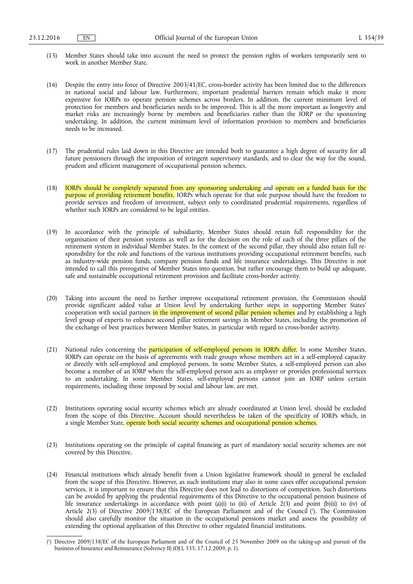- (15) Member States should take into account the need to protect the pension rights of workers temporarily sent to work in another Member State.
- (16) Despite the entry into force of Directive 2003/41/EC, cross-border activity has been limited due to the differences in national social and labour law. Furthermore, important prudential barriers remain which make it more expensive for IORPs to operate pension schemes across borders. In addition, the current minimum level of protection for members and beneficiaries needs to be improved. This is all the more important as longevity and market risks are increasingly borne by members and beneficiaries rather than the IORP or the sponsoring undertaking. In addition, the current minimum level of information provision to members and beneficiaries needs to be increased.
- (17) The prudential rules laid down in this Directive are intended both to guarantee a high degree of security for all future pensioners through the imposition of stringent supervisory standards, and to clear the way for the sound, prudent and efficient management of occupational pension schemes.
- (18) IORPs should be completely separated from any sponsoring undertaking and operate on a funded basis for the purpose of providing retirement benefits. IORPs which operate for that sole purpose should have the freedom to provide services and freedom of investment, subject only to coordinated prudential requirements, regardless of whether such IORPs are considered to be legal entities.
- (19) In accordance with the principle of subsidiarity, Member States should retain full responsibility for the organisation of their pension systems as well as for the decision on the role of each of the three pillars of the retirement system in individual Member States. In the context of the second pillar, they should also retain full responsibility for the role and functions of the various institutions providing occupational retirement benefits, such as industry-wide pension funds, company pension funds and life insurance undertakings. This Directive is not intended to call this prerogative of Member States into question, but rather encourage them to build up adequate, safe and sustainable occupational retirement provision and facilitate cross-border activity.
- (20) Taking into account the need to further improve occupational retirement provision, the Commission should provide significant added value at Union level by undertaking further steps in supporting Member States' cooperation with social partners in the improvement of second pillar pension schemes and by establishing a high level group of experts to enhance second pillar retirement savings in Member States, including the promotion of the exchange of best practices between Member States, in particular with regard to cross-border activity.
- (21) National rules concerning the **participation of self-employed persons in IORPs differ.** In some Member States, IORPs can operate on the basis of agreements with trade groups whose members act in a self-employed capacity or directly with self-employed and employed persons. In some Member States, a self-employed person can also become a member of an IORP where the self-employed person acts as employer or provides professional services to an undertaking. In some Member States, self-employed persons cannot join an IORP unless certain requirements, including those imposed by social and labour law, are met.
- (22) Institutions operating social security schemes which are already coordinated at Union level, should be excluded from the scope of this Directive. Account should nevertheless be taken of the specificity of IORPs which, in a single Member State, operate both social security schemes and occupational pension schemes.
- (23) Institutions operating on the principle of capital financing as part of mandatory social security schemes are not covered by this Directive.
- (24) Financial institutions which already benefit from a Union legislative framework should in general be excluded from the scope of this Directive. However, as such institutions may also in some cases offer occupational pension services, it is important to ensure that this Directive does not lead to distortions of competition. Such distortions can be avoided by applying the prudential requirements of this Directive to the occupational pension business of life insurance undertakings in accordance with point (a)(i) to (iii) of Article 2(3) and point (b)(ii) to (iv) of Article 2(3) of Directive 2009/138/EC of the European Parliament and of the Council ( 1 ). The Commission should also carefully monitor the situation in the occupational pensions market and assess the possibility of extending the optional application of this Directive to other regulated financial institutions.

<sup>(</sup> 1 ) Directive 2009/138/EC of the European Parliament and of the Council of 25 November 2009 on the taking-up and pursuit of the business of Insurance and Reinsurance (Solvency II) (OJ L 335, 17.12.2009, p. 1).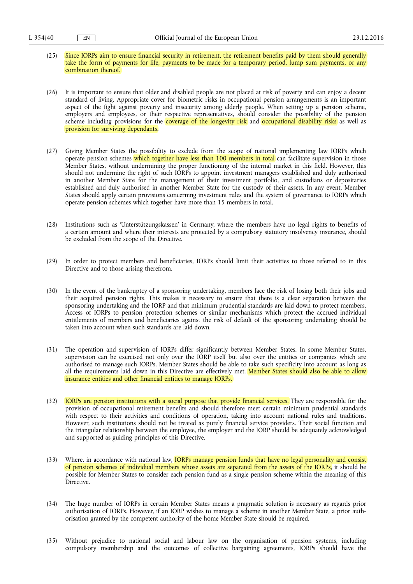- (25) Since IORPs aim to ensure financial security in retirement, the retirement benefits paid by them should generally take the form of payments for life, payments to be made for a temporary period, lump sum payments, or any combination thereof.
- (26) It is important to ensure that older and disabled people are not placed at risk of poverty and can enjoy a decent standard of living. Appropriate cover for biometric risks in occupational pension arrangements is an important aspect of the fight against poverty and insecurity among elderly people. When setting up a pension scheme, employers and employees, or their respective representatives, should consider the possibility of the pension scheme including provisions for the coverage of the longevity risk and occupational disability risks as well as provision for surviving dependants.
- (27) Giving Member States the possibility to exclude from the scope of national implementing law IORPs which operate pension schemes which together have less than 100 members in total can facilitate supervision in those Member States, without undermining the proper functioning of the internal market in this field. However, this should not undermine the right of such IORPs to appoint investment managers established and duly authorised in another Member State for the management of their investment portfolio, and custodians or depositaries established and duly authorised in another Member State for the custody of their assets. In any event, Member States should apply certain provisions concerning investment rules and the system of governance to IORPs which operate pension schemes which together have more than 15 members in total.
- (28) Institutions such as 'Unterstützungskassen' in Germany, where the members have no legal rights to benefits of a certain amount and where their interests are protected by a compulsory statutory insolvency insurance, should be excluded from the scope of the Directive.
- (29) In order to protect members and beneficiaries, IORPs should limit their activities to those referred to in this Directive and to those arising therefrom.
- (30) In the event of the bankruptcy of a sponsoring undertaking, members face the risk of losing both their jobs and their acquired pension rights. This makes it necessary to ensure that there is a clear separation between the sponsoring undertaking and the IORP and that minimum prudential standards are laid down to protect members. Access of IORPs to pension protection schemes or similar mechanisms which protect the accrued individual entitlements of members and beneficiaries against the risk of default of the sponsoring undertaking should be taken into account when such standards are laid down.
- (31) The operation and supervision of IORPs differ significantly between Member States. In some Member States, supervision can be exercised not only over the IORP itself but also over the entities or companies which are authorised to manage such IORPs. Member States should be able to take such specificity into account as long as all the requirements laid down in this Directive are effectively met. Member States should also be able to allow insurance entities and other financial entities to manage IORPs.
- (32) IORPs are pension institutions with a social purpose that provide financial services. They are responsible for the provision of occupational retirement benefits and should therefore meet certain minimum prudential standards with respect to their activities and conditions of operation, taking into account national rules and traditions. However, such institutions should not be treated as purely financial service providers. Their social function and the triangular relationship between the employee, the employer and the IORP should be adequately acknowledged and supported as guiding principles of this Directive.
- (33) Where, in accordance with national law, **IORPs manage pension funds that have no legal personality and consist** of pension schemes of individual members whose assets are separated from the assets of the IORPs, it should be possible for Member States to consider each pension fund as a single pension scheme within the meaning of this Directive.
- (34) The huge number of IORPs in certain Member States means a pragmatic solution is necessary as regards prior authorisation of IORPs. However, if an IORP wishes to manage a scheme in another Member State, a prior authorisation granted by the competent authority of the home Member State should be required.
- (35) Without prejudice to national social and labour law on the organisation of pension systems, including compulsory membership and the outcomes of collective bargaining agreements, IORPs should have the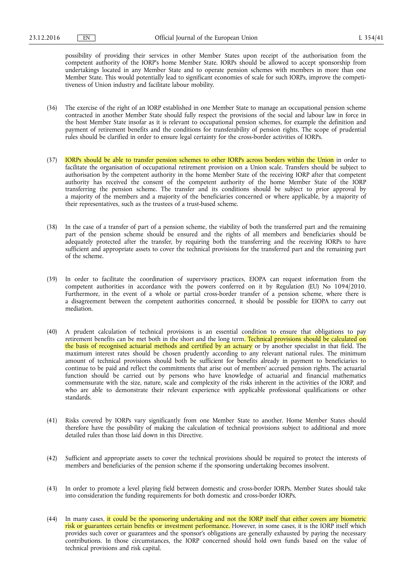possibility of providing their services in other Member States upon receipt of the authorisation from the competent authority of the IORP's home Member State. IORPs should be allowed to accept sponsorship from undertakings located in any Member State and to operate pension schemes with members in more than one Member State. This would potentially lead to significant economies of scale for such IORPs, improve the competitiveness of Union industry and facilitate labour mobility.

- (36) The exercise of the right of an IORP established in one Member State to manage an occupational pension scheme contracted in another Member State should fully respect the provisions of the social and labour law in force in the host Member State insofar as it is relevant to occupational pension schemes, for example the definition and payment of retirement benefits and the conditions for transferability of pension rights. The scope of prudential rules should be clarified in order to ensure legal certainty for the cross-border activities of IORPs.
- (37) IORPs should be able to transfer pension schemes to other IORPs across borders within the Union in order to facilitate the organisation of occupational retirement provision on a Union scale. Transfers should be subject to authorisation by the competent authority in the home Member State of the receiving IORP after that competent authority has received the consent of the competent authority of the home Member State of the IORP transferring the pension scheme. The transfer and its conditions should be subject to prior approval by a majority of the members and a majority of the beneficiaries concerned or where applicable, by a majority of their representatives, such as the trustees of a trust-based scheme.
- (38) In the case of a transfer of part of a pension scheme, the viability of both the transferred part and the remaining part of the pension scheme should be ensured and the rights of all members and beneficiaries should be adequately protected after the transfer, by requiring both the transferring and the receiving IORPs to have sufficient and appropriate assets to cover the technical provisions for the transferred part and the remaining part of the scheme.
- (39) In order to facilitate the coordination of supervisory practices, EIOPA can request information from the competent authorities in accordance with the powers conferred on it by Regulation (EU) No 1094/2010. Furthermore, in the event of a whole or partial cross-border transfer of a pension scheme, where there is a disagreement between the competent authorities concerned, it should be possible for EIOPA to carry out mediation.
- (40) A prudent calculation of technical provisions is an essential condition to ensure that obligations to pay retirement benefits can be met both in the short and the long term. Technical provisions should be calculated on the basis of recognised actuarial methods and certified by an actuary or by another specialist in that field. The maximum interest rates should be chosen prudently according to any relevant national rules. The minimum amount of technical provisions should both be sufficient for benefits already in payment to beneficiaries to continue to be paid and reflect the commitments that arise out of members' accrued pension rights. The actuarial function should be carried out by persons who have knowledge of actuarial and financial mathematics commensurate with the size, nature, scale and complexity of the risks inherent in the activities of the IORP, and who are able to demonstrate their relevant experience with applicable professional qualifications or other standards.
- (41) Risks covered by IORPs vary significantly from one Member State to another. Home Member States should therefore have the possibility of making the calculation of technical provisions subject to additional and more detailed rules than those laid down in this Directive.
- (42) Sufficient and appropriate assets to cover the technical provisions should be required to protect the interests of members and beneficiaries of the pension scheme if the sponsoring undertaking becomes insolvent.
- (43) In order to promote a level playing field between domestic and cross-border IORPs, Member States should take into consideration the funding requirements for both domestic and cross-border IORPs.
- (44) In many cases, it could be the sponsoring undertaking and not the IORP itself that either covers any biometric risk or guarantees certain benefits or investment performance. However, in some cases, it is the IORP itself which provides such cover or guarantees and the sponsor's obligations are generally exhausted by paying the necessary contributions. In those circumstances, the IORP concerned should hold own funds based on the value of technical provisions and risk capital.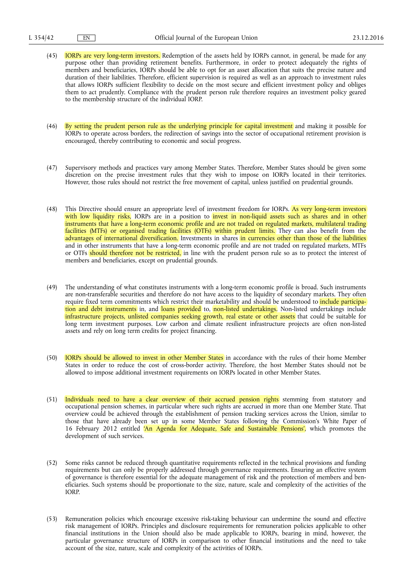- (45) IORPs are very long-term investors. Redemption of the assets held by IORPs cannot, in general, be made for any purpose other than providing retirement benefits. Furthermore, in order to protect adequately the rights of members and beneficiaries, IORPs should be able to opt for an asset allocation that suits the precise nature and duration of their liabilities. Therefore, efficient supervision is required as well as an approach to investment rules that allows IORPs sufficient flexibility to decide on the most secure and efficient investment policy and obliges them to act prudently. Compliance with the prudent person rule therefore requires an investment policy geared to the membership structure of the individual IORP.
- (46) By setting the prudent person rule as the underlying principle for capital investment and making it possible for IORPs to operate across borders, the redirection of savings into the sector of occupational retirement provision is encouraged, thereby contributing to economic and social progress.
- (47) Supervisory methods and practices vary among Member States. Therefore, Member States should be given some discretion on the precise investment rules that they wish to impose on IORPs located in their territories. However, those rules should not restrict the free movement of capital, unless justified on prudential grounds.
- (48) This Directive should ensure an appropriate level of investment freedom for IORPs. As very long-term investors with low liquidity risks, IORPs are in a position to invest in non-liquid assets such as shares and in other instruments that have a long-term economic profile and are not traded on regulated markets, multilateral trading facilities (MTFs) or organised trading facilities (OTFs) within prudent limits. They can also benefit from the advantages of international diversification. Investments in shares in currencies other than those of the liabilities and in other instruments that have a long-term economic profile and are not traded on regulated markets, MTFs or OTFs should therefore not be restricted, in line with the prudent person rule so as to protect the interest of members and beneficiaries, except on prudential grounds.
- (49) The understanding of what constitutes instruments with a long-term economic profile is broad. Such instruments are non-transferable securities and therefore do not have access to the liquidity of secondary markets. They often require fixed term commitments which restrict their marketability and should be understood to *include participa*tion and debt instruments in, and loans provided to, non-listed undertakings. Non-listed undertakings include infrastructure projects, unlisted companies seeking growth, real estate or other assets that could be suitable for long term investment purposes. Low carbon and climate resilient infrastructure projects are often non-listed assets and rely on long term credits for project financing.
- (50) IORPs should be allowed to invest in other Member States in accordance with the rules of their home Member States in order to reduce the cost of cross-border activity. Therefore, the host Member States should not be allowed to impose additional investment requirements on IORPs located in other Member States.
- (51) Individuals need to have a clear overview of their accrued pension rights stemming from statutory and occupational pension schemes, in particular where such rights are accrued in more than one Member State. That overview could be achieved through the establishment of pension tracking services across the Union, similar to those that have already been set up in some Member States following the Commission's White Paper of 16 February 2012 entitled 'An Agenda for Adequate, Safe and Sustainable Pensions', which promotes the development of such services.
- (52) Some risks cannot be reduced through quantitative requirements reflected in the technical provisions and funding requirements but can only be properly addressed through governance requirements. Ensuring an effective system of governance is therefore essential for the adequate management of risk and the protection of members and beneficiaries. Such systems should be proportionate to the size, nature, scale and complexity of the activities of the IORP.
- (53) Remuneration policies which encourage excessive risk-taking behaviour can undermine the sound and effective risk management of IORPs. Principles and disclosure requirements for remuneration policies applicable to other financial institutions in the Union should also be made applicable to IORPs, bearing in mind, however, the particular governance structure of IORPs in comparison to other financial institutions and the need to take account of the size, nature, scale and complexity of the activities of IORPs.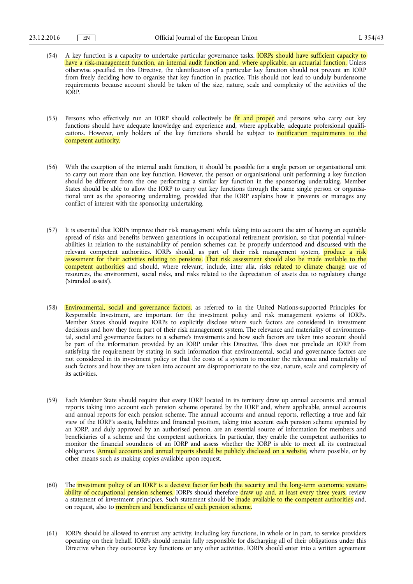- (54) A key function is a capacity to undertake particular governance tasks. IORPs should have sufficient capacity to have a risk-management function, an internal audit function and, where applicable, an actuarial function. Unless otherwise specified in this Directive, the identification of a particular key function should not prevent an IORP from freely deciding how to organise that key function in practice. This should not lead to unduly burdensome requirements because account should be taken of the size, nature, scale and complexity of the activities of the IORP.
- (55) Persons who effectively run an IORP should collectively be fit and proper and persons who carry out key functions should have adequate knowledge and experience and, where applicable, adequate professional qualifications. However, only holders of the key functions should be subject to notification requirements to the competent authority.
- (56) With the exception of the internal audit function, it should be possible for a single person or organisational unit to carry out more than one key function. However, the person or organisational unit performing a key function should be different from the one performing a similar key function in the sponsoring undertaking. Member States should be able to allow the IORP to carry out key functions through the same single person or organisational unit as the sponsoring undertaking, provided that the IORP explains how it prevents or manages any conflict of interest with the sponsoring undertaking.
- (57) It is essential that IORPs improve their risk management while taking into account the aim of having an equitable spread of risks and benefits between generations in occupational retirement provision, so that potential vulnerabilities in relation to the sustainability of pension schemes can be properly understood and discussed with the relevant competent authorities. IORPs should, as part of their risk management system, <mark>produce a risk</mark> assessment for their activities relating to pensions. That risk assessment should also be made available to the competent authorities and should, where relevant, include, inter alia, risks related to climate change, use of resources, the environment, social risks, and risks related to the depreciation of assets due to regulatory change ('stranded assets').
- (58) Environmental, social and governance factors, as referred to in the United Nations-supported Principles for Responsible Investment, are important for the investment policy and risk management systems of IORPs. Member States should require IORPs to explicitly disclose where such factors are considered in investment decisions and how they form part of their risk management system. The relevance and materiality of environmental, social and governance factors to a scheme's investments and how such factors are taken into account should be part of the information provided by an IORP under this Directive. This does not preclude an IORP from satisfying the requirement by stating in such information that environmental, social and governance factors are not considered in its investment policy or that the costs of a system to monitor the relevance and materiality of such factors and how they are taken into account are disproportionate to the size, nature, scale and complexity of its activities.
- (59) Each Member State should require that every IORP located in its territory draw up annual accounts and annual reports taking into account each pension scheme operated by the IORP and, where applicable, annual accounts and annual reports for each pension scheme. The annual accounts and annual reports, reflecting a true and fair view of the IORP's assets, liabilities and financial position, taking into account each pension scheme operated by an IORP, and duly approved by an authorised person, are an essential source of information for members and beneficiaries of a scheme and the competent authorities. In particular, they enable the competent authorities to monitor the financial soundness of an IORP and assess whether the IORP is able to meet all its contractual obligations. Annual accounts and annual reports should be publicly disclosed on a website, where possible, or by other means such as making copies available upon request.
- (60) The investment policy of an IORP is a decisive factor for both the security and the long-term economic sustainability of occupational pension schemes. IORPs should therefore draw up and, at least every three years, review a statement of investment principles. Such statement should be made available to the competent authorities and, on request, also to members and beneficiaries of each pension scheme.
- (61) IORPs should be allowed to entrust any activity, including key functions, in whole or in part, to service providers operating on their behalf. IORPs should remain fully responsible for discharging all of their obligations under this Directive when they outsource key functions or any other activities. IORPs should enter into a written agreement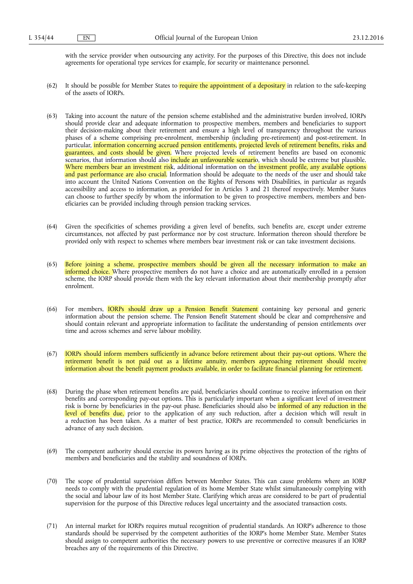with the service provider when outsourcing any activity. For the purposes of this Directive, this does not include agreements for operational type services for example, for security or maintenance personnel.

- (62) It should be possible for Member States to require the appointment of a depositary in relation to the safe-keeping of the assets of IORPs.
- (63) Taking into account the nature of the pension scheme established and the administrative burden involved, IORPs should provide clear and adequate information to prospective members, members and beneficiaries to support their decision-making about their retirement and ensure a high level of transparency throughout the various phases of a scheme comprising pre-enrolment, membership (including pre-retirement) and post-retirement. In particular, information concerning accrued pension entitlements, projected levels of retirement benefits, risks and guarantees, and costs should be given. Where projected levels of retirement benefits are based on economic scenarios, that information should also include an unfavourable scenario, which should be extreme but plausible. Where members bear an investment risk, additional information on the investment profile, any available options and past performance are also crucial. Information should be adequate to the needs of the user and should take into account the United Nations Convention on the Rights of Persons with Disabilities, in particular as regards accessibility and access to information, as provided for in Articles 3 and 21 thereof respectively. Member States can choose to further specify by whom the information to be given to prospective members, members and beneficiaries can be provided including through pension tracking services.
- (64) Given the specificities of schemes providing a given level of benefits, such benefits are, except under extreme circumstances, not affected by past performance nor by cost structure. Information thereon should therefore be provided only with respect to schemes where members bear investment risk or can take investment decisions.
- (65) Before joining a scheme, prospective members should be given all the necessary information to make an informed choice. Where prospective members do not have a choice and are automatically enrolled in a pension scheme, the IORP should provide them with the key relevant information about their membership promptly after enrolment.
- (66) For members, IORPs should draw up a Pension Benefit Statement containing key personal and generic information about the pension scheme. The Pension Benefit Statement should be clear and comprehensive and should contain relevant and appropriate information to facilitate the understanding of pension entitlements over time and across schemes and serve labour mobility.
- (67) IORPs should inform members sufficiently in advance before retirement about their pay-out options. Where the retirement benefit is not paid out as a lifetime annuity, members approaching retirement should receive information about the benefit payment products available, in order to facilitate financial planning for retirement.
- (68) During the phase when retirement benefits are paid, beneficiaries should continue to receive information on their benefits and corresponding pay-out options. This is particularly important when a significant level of investment risk is borne by beneficiaries in the pay-out phase. Beneficiaries should also be informed of any reduction in the level of benefits due, prior to the application of any such reduction, after a decision which will result in a reduction has been taken. As a matter of best practice, IORPs are recommended to consult beneficiaries in advance of any such decision.
- (69) The competent authority should exercise its powers having as its prime objectives the protection of the rights of members and beneficiaries and the stability and soundness of IORPs.
- (70) The scope of prudential supervision differs between Member States. This can cause problems where an IORP needs to comply with the prudential regulation of its home Member State whilst simultaneously complying with the social and labour law of its host Member State. Clarifying which areas are considered to be part of prudential supervision for the purpose of this Directive reduces legal uncertainty and the associated transaction costs.
- (71) An internal market for IORPs requires mutual recognition of prudential standards. An IORP's adherence to those standards should be supervised by the competent authorities of the IORP's home Member State. Member States should assign to competent authorities the necessary powers to use preventive or corrective measures if an IORP breaches any of the requirements of this Directive.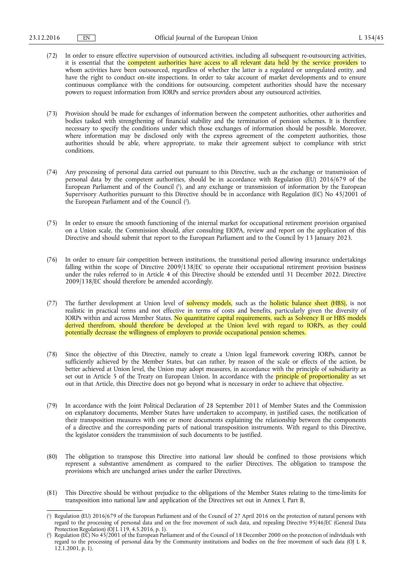- (72) In order to ensure effective supervision of outsourced activities, including all subsequent re-outsourcing activities, it is essential that the **competent authorities have access to all relevant data held by the service providers** to whom activities have been outsourced, regardless of whether the latter is a regulated or unregulated entity, and have the right to conduct on-site inspections. In order to take account of market developments and to ensure continuous compliance with the conditions for outsourcing, competent authorities should have the necessary powers to request information from IORPs and service providers about any outsourced activities.
- (73) Provision should be made for exchanges of information between the competent authorities, other authorities and bodies tasked with strengthening of financial stability and the termination of pension schemes. It is therefore necessary to specify the conditions under which those exchanges of information should be possible. Moreover, where information may be disclosed only with the express agreement of the competent authorities, those authorities should be able, where appropriate, to make their agreement subject to compliance with strict conditions.
- (74) Any processing of personal data carried out pursuant to this Directive, such as the exchange or transmission of personal data by the competent authorities, should be in accordance with Regulation (EU) 2016/679 of the European Parliament and of the Council ( 1 ), and any exchange or transmission of information by the European Supervisory Authorities pursuant to this Directive should be in accordance with Regulation (EC) No 45/2001 of the European Parliament and of the Council ( 2 ).
- (75) In order to ensure the smooth functioning of the internal market for occupational retirement provision organised on a Union scale, the Commission should, after consulting EIOPA, review and report on the application of this Directive and should submit that report to the European Parliament and to the Council by 13 January 2023.
- (76) In order to ensure fair competition between institutions, the transitional period allowing insurance undertakings falling within the scope of Directive 2009/138/EC to operate their occupational retirement provision business under the rules referred to in Article 4 of this Directive should be extended until 31 December 2022. Directive 2009/138/EC should therefore be amended accordingly.
- (77) The further development at Union level of solvency models, such as the holistic balance sheet (HBS), is not realistic in practical terms and not effective in terms of costs and benefits, particularly given the diversity of IORPs within and across Member States. No quantitative capital requirements, such as Solvency II or HBS models derived therefrom, should therefore be developed at the Union level with regard to IORPs, as they could potentially decrease the willingness of employers to provide occupational pension schemes.
- (78) Since the objective of this Directive, namely to create a Union legal framework covering IORPs, cannot be sufficiently achieved by the Member States, but can rather, by reason of the scale or effects of the action, be better achieved at Union level, the Union may adopt measures, in accordance with the principle of subsidiarity as set out in Article 5 of the Treaty on European Union. In accordance with the **principle of proportionality** as set out in that Article, this Directive does not go beyond what is necessary in order to achieve that objective.
- (79) In accordance with the Joint Political Declaration of 28 September 2011 of Member States and the Commission on explanatory documents, Member States have undertaken to accompany, in justified cases, the notification of their transposition measures with one or more documents explaining the relationship between the components of a directive and the corresponding parts of national transposition instruments. With regard to this Directive, the legislator considers the transmission of such documents to be justified.
- (80) The obligation to transpose this Directive into national law should be confined to those provisions which represent a substantive amendment as compared to the earlier Directives. The obligation to transpose the provisions which are unchanged arises under the earlier Directives.
- (81) This Directive should be without prejudice to the obligations of the Member States relating to the time-limits for transposition into national law and application of the Directives set out in Annex I, Part B,

<sup>(</sup> 1 ) Regulation (EU) 2016/679 of the European Parliament and of the Council of 27 April 2016 on the protection of natural persons with regard to the processing of personal data and on the free movement of such data, and repealing Directive 95/46/EC (General Data Protection Regulation) ( $\overline{O}$ J L 119, 4.5.2016, p. 1).

<sup>(</sup> 2 ) Regulation (EC) No 45/2001 of the European Parliament and of the Council of 18 December 2000 on the protection of individuals with regard to the processing of personal data by the Community institutions and bodies on the free movement of such data (OJ L 8, 12.1.2001, p. 1).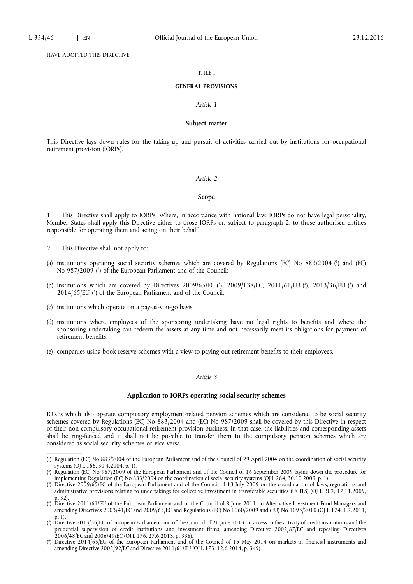HAVE ADOPTED THIS DIRECTIVE:

### TITLE I

### **GENERAL PROVISIONS**

### *Article 1*

### **Subject matter**

This Directive lays down rules for the taking-up and pursuit of activities carried out by institutions for occupational retirement provision (IORPs).

#### *Article 2*

### **Scope**

1. This Directive shall apply to IORPs. Where, in accordance with national law, IORPs do not have legal personality, Member States shall apply this Directive either to those IORPs or, subject to paragraph 2, to those authorised entities responsible for operating them and acting on their behalf.

- 2. This Directive shall not apply to:
- (a) institutions operating social security schemes which are covered by Regulations (EC) No 883/2004 ( 1 ) and (EC) No 987/2009 ( 2 ) of the European Parliament and of the Council;
- (b) institutions which are covered by Directives 2009/65/EC (3), 2009/138/EC, 2011/61/EU (4), 2013/36/EU (5) and 2014/65/EU (<sup>6</sup>) of the European Parliament and of the Council;
- (c) institutions which operate on a pay-as-you-go basis;
- (d) institutions where employees of the sponsoring undertaking have no legal rights to benefits and where the sponsoring undertaking can redeem the assets at any time and not necessarily meet its obligations for payment of retirement benefits;
- (e) companies using book-reserve schemes with a view to paying out retirement benefits to their employees.

### *Article 3*

#### **Application to IORPs operating social security schemes**

IORPs which also operate compulsory employment-related pension schemes which are considered to be social security schemes covered by Regulations (EC) No 883/2004 and (EC) No 987/2009 shall be covered by this Directive in respect of their non-compulsory occupational retirement provision business. In that case, the liabilities and corresponding assets shall be ring-fenced and it shall not be possible to transfer them to the compulsory pension schemes which are considered as social security schemes or vice versa.

<sup>(</sup> 1 ) Regulation (EC) No 883/2004 of the European Parliament and of the Council of 29 April 2004 on the coordination of social security systems (OJ L 166, 30.4.2004, p. 1).

<sup>(</sup> 2 ) Regulation (EC) No 987/2009 of the European Parliament and of the Council of 16 September 2009 laying down the procedure for implementing Regulation (EC) No 883/2004 on the coordination of social security systems (OJ L 284, 30.10.2009, p. 1).

<sup>(</sup> 3 ) Directive 2009/65/EC of the European Parliament and of the Council of 13 July 2009 on the coordination of laws, regulations and administrative provisions relating to undertakings for collective investment in transferable securities (UCITS) (OJ L 302, 17.11.2009, p. 32).

<sup>(</sup> 4 ) Directive 2011/61/EU of the European Parliament and of the Council of 8 June 2011 on Alternative Investment Fund Managers and amending Directives 2003/41/EC and 2009/65/EC and Regulations (EC) No 1060/2009 and (EU) No 1095/2010 (OJ L 174, 1.7.2011, p. 1).

<sup>(</sup> 5 ) Directive 2013/36/EU of European Parliament and of the Council of 26 June 2013 on access to the activity of credit institutions and the prudential supervision of credit institutions and investment firms, amending Directive 2002/87/EC and repealing Directives 2006/48/EC and 2006/49/EC (OJ L 176, 27.6.2013, p. 338).

<sup>(</sup> 6 ) Directive 2014/65/EU of the European Parliament and of the Council of 15 May 2014 on markets in financial instruments and amending Directive 2002/92/EC and Directive 2011/61/EU (OJ L 173, 12.6.2014, p. 349).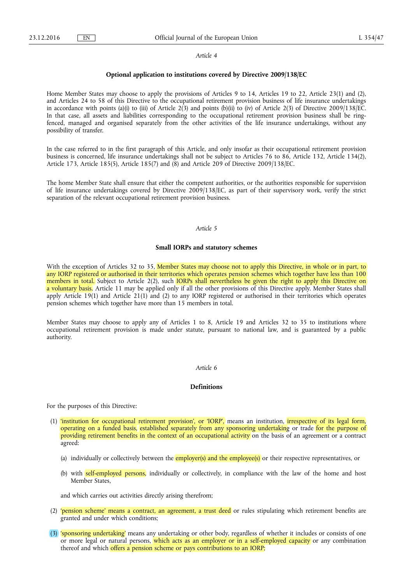#### *Article 4*

#### **Optional application to institutions covered by Directive 2009/138/EC**

Home Member States may choose to apply the provisions of Articles 9 to 14, Articles 19 to 22, Article 23(1) and (2), and Articles 24 to 58 of this Directive to the occupational retirement provision business of life insurance undertakings in accordance with points (a)(i) to (iii) of Article 2(3) and points (b)(ii) to (iv) of Article 2(3) of Directive 2009/138/EC. In that case, all assets and liabilities corresponding to the occupational retirement provision business shall be ringfenced, managed and organised separately from the other activities of the life insurance undertakings, without any possibility of transfer.

In the case referred to in the first paragraph of this Article, and only insofar as their occupational retirement provision business is concerned, life insurance undertakings shall not be subject to Articles 76 to 86, Article 132, Article 134(2), Article 173, Article 185(5), Article 185(7) and (8) and Article 209 of Directive 2009/138/EC.

The home Member State shall ensure that either the competent authorities, or the authorities responsible for supervision of life insurance undertakings covered by Directive 2009/138/EC, as part of their supervisory work, verify the strict separation of the relevant occupational retirement provision business.

#### *Article 5*

#### **Small IORPs and statutory schemes**

With the exception of Articles 32 to 35, Member States may choose not to apply this Directive, in whole or in part, to any IORP registered or authorised in their territories which operates pension schemes which together have less than 100 members in total. Subject to Article 2(2), such IORPs shall nevertheless be given the right to apply this Directive on a voluntary basis. Article 11 may be applied only if all the other provisions of this Directive apply. Member States shall apply Article 19(1) and Article 21(1) and (2) to any IORP registered or authorised in their territories which operates pension schemes which together have more than 15 members in total.

Member States may choose to apply any of Articles 1 to 8, Article 19 and Articles 32 to 35 to institutions where occupational retirement provision is made under statute, pursuant to national law, and is guaranteed by a public authority.

### *Article 6*

#### **Definitions**

For the purposes of this Directive:

- (1) 'institution for occupational retirement provision', or 'IORP', means an institution, irrespective of its legal form, operating on a funded basis, established separately from any sponsoring undertaking or trade for the purpose of providing retirement benefits in the context of an occupational activity on the basis of an agreement or a contract agreed:
	- (a) individually or collectively between the *employer(s)* and the employee(s) or their respective representatives, or
	- (b) with self-employed persons, individually or collectively, in compliance with the law of the home and host Member States.

and which carries out activities directly arising therefrom;

- (2) 'pension scheme' means a contract, an agreement, a trust deed or rules stipulating which retirement benefits are granted and under which conditions;
- (3) 'sponsoring undertaking' means any undertaking or other body, regardless of whether it includes or consists of one or more legal or natural persons, which acts as an employer or in a self-employed capacity or any combination thereof and which offers a pension scheme or pays contributions to an IORP;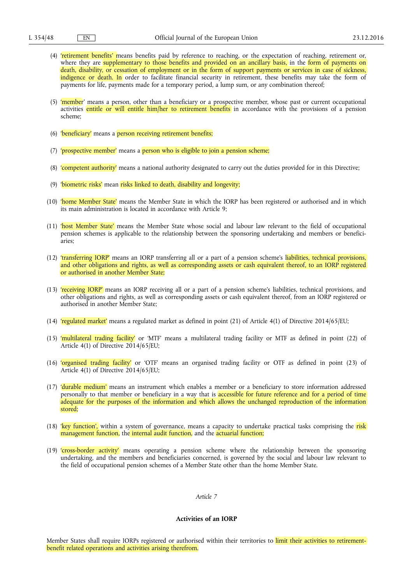- (4) 'retirement benefits' means benefits paid by reference to reaching, or the expectation of reaching, retirement or, where they are supplementary to those benefits and provided on an ancillary basis, in the form of payments on death, disability, or cessation of employment or in the form of support payments or services in case of sickness, indigence or death. In order to facilitate financial security in retirement, these benefits may take the form of payments for life, payments made for a temporary period, a lump sum, or any combination thereof;
- (5) 'member' means a person, other than a beneficiary or a prospective member, whose past or current occupational activities entitle or will entitle him/her to retirement benefits in accordance with the provisions of a pension scheme;
- (6) 'beneficiary' means a person receiving retirement benefits;
- (7) 'prospective member' means a person who is eligible to join a pension scheme;
- (8) 'competent authority' means a national authority designated to carry out the duties provided for in this Directive;
- (9) 'biometric risks' mean risks linked to death, disability and longevity;
- (10) 'home Member State' means the Member State in which the IORP has been registered or authorised and in which its main administration is located in accordance with Article 9;
- (11) 'host Member State' means the Member State whose social and labour law relevant to the field of occupational pension schemes is applicable to the relationship between the sponsoring undertaking and members or beneficiaries;
- (12) 'transferring IORP' means an IORP transferring all or a part of a pension scheme's liabilities, technical provisions, and other obligations and rights, as well as corresponding assets or cash equivalent thereof, to an IORP registered or authorised in another Member State;
- (13) 'receiving IORP' means an IORP receiving all or a part of a pension scheme's liabilities, technical provisions, and other obligations and rights, as well as corresponding assets or cash equivalent thereof, from an IORP registered or authorised in another Member State;
- (14) 'regulated market' means a regulated market as defined in point (21) of Article 4(1) of Directive 2014/65/EU;
- (15) 'multilateral trading facility' or 'MTF' means a multilateral trading facility or MTF as defined in point (22) of Article 4(1) of Directive 2014/65/EU;
- (16) 'organised trading facility' or 'OTF' means an organised trading facility or OTF as defined in point (23) of Article 4(1) of Directive 2014/65/EU;
- (17) 'durable medium' means an instrument which enables a member or a beneficiary to store information addressed personally to that member or beneficiary in a way that is accessible for future reference and for a period of time adequate for the purposes of the information and which allows the unchanged reproduction of the information stored;
- (18) 'key function', within a system of governance, means a capacity to undertake practical tasks comprising the risk management function, the internal audit function, and the actuarial function;
- (19) 'cross-border activity' means operating a pension scheme where the relationship between the sponsoring undertaking, and the members and beneficiaries concerned, is governed by the social and labour law relevant to the field of occupational pension schemes of a Member State other than the home Member State.

### *Article 7*

### **Activities of an IORP**

Member States shall require IORPs registered or authorised within their territories to limit their activities to retirementbenefit related operations and activities arising therefrom.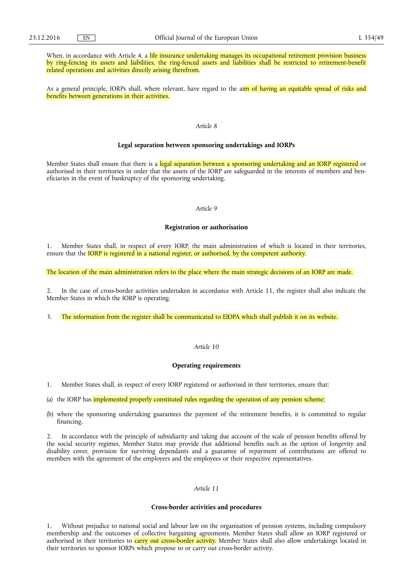When, in accordance with Article 4, a life insurance undertaking manages its occupational retirement provision business by ring-fencing its assets and liabilities, the ring-fenced assets and liabilities shall be restricted to retirement-benefit related operations and activities directly arising therefrom.

As a general principle, IORPs shall, where relevant, have regard to the aim of having an equitable spread of risks and benefits between generations in their activities.

### *Article 8*

#### **Legal separation between sponsoring undertakings and IORPs**

Member States shall ensure that there is a legal separation between a sponsoring undertaking and an IORP registered or authorised in their territories in order that the assets of the IORP are safeguarded in the interests of members and beneficiaries in the event of bankruptcy of the sponsoring undertaking.

### *Article 9*

#### **Registration or authorisation**

1. Member States shall, in respect of every IORP, the main administration of which is located in their territories, ensure that the **IORP** is registered in a national register, or authorised, by the competent authority.

The location of the main administration refers to the place where the main strategic decisions of an IORP are made.

2. In the case of cross-border activities undertaken in accordance with Article 11, the register shall also indicate the Member States in which the IORP is operating.

3. The information from the register shall be communicated to EIOPA which shall publish it on its website.

### *Article 10*

#### **Operating requirements**

- 1. Member States shall, in respect of every IORP registered or authorised in their territories, ensure that:
- (a) the IORP has implemented properly constituted rules regarding the operation of any pension scheme;
- (b) where the sponsoring undertaking guarantees the payment of the retirement benefits, it is committed to regular financing.

2. In accordance with the principle of subsidiarity and taking due account of the scale of pension benefits offered by the social security regimes, Member States may provide that additional benefits such as the option of longevity and disability cover, provision for surviving dependants and a guarantee of repayment of contributions are offered to members with the agreement of the employers and the employees or their respective representatives.

# *Article 11*

#### **Cross-border activities and procedures**

1. Without prejudice to national social and labour law on the organisation of pension systems, including compulsory membership and the outcomes of collective bargaining agreements, Member States shall allow an IORP registered or authorised in their territories to carry out cross-border activity. Member States shall also allow undertakings located in their territories to sponsor IORPs which propose to or carry out cross-border activity.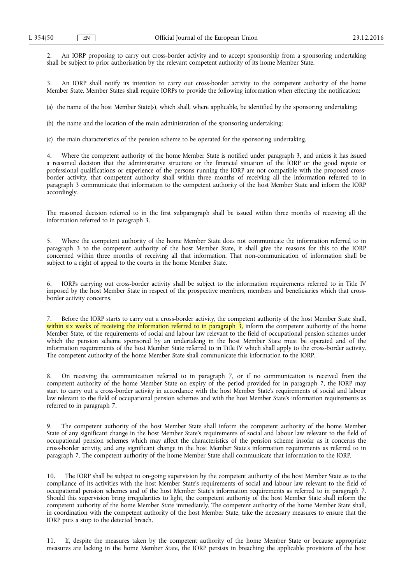2. An IORP proposing to carry out cross-border activity and to accept sponsorship from a sponsoring undertaking shall be subject to prior authorisation by the relevant competent authority of its home Member State.

3. An IORP shall notify its intention to carry out cross-border activity to the competent authority of the home Member State. Member States shall require IORPs to provide the following information when effecting the notification:

(a) the name of the host Member State(s), which shall, where applicable, be identified by the sponsoring undertaking;

(b) the name and the location of the main administration of the sponsoring undertaking;

(c) the main characteristics of the pension scheme to be operated for the sponsoring undertaking.

4. Where the competent authority of the home Member State is notified under paragraph 3, and unless it has issued a reasoned decision that the administrative structure or the financial situation of the IORP or the good repute or professional qualifications or experience of the persons running the IORP are not compatible with the proposed crossborder activity, that competent authority shall within three months of receiving all the information referred to in paragraph 3 communicate that information to the competent authority of the host Member State and inform the IORP accordingly.

The reasoned decision referred to in the first subparagraph shall be issued within three months of receiving all the information referred to in paragraph 3.

5. Where the competent authority of the home Member State does not communicate the information referred to in paragraph 3 to the competent authority of the host Member State, it shall give the reasons for this to the IORP concerned within three months of receiving all that information. That non-communication of information shall be subject to a right of appeal to the courts in the home Member State.

6. IORPs carrying out cross-border activity shall be subject to the information requirements referred to in Title IV imposed by the host Member State in respect of the prospective members, members and beneficiaries which that crossborder activity concerns.

7. Before the IORP starts to carry out a cross-border activity, the competent authority of the host Member State shall, within six weeks of receiving the information referred to in paragraph  $\frac{1}{2}$ , inform the competent authority of the home Member State, of the requirements of social and labour law relevant to the field of occupational pension schemes under which the pension scheme sponsored by an undertaking in the host Member State must be operated and of the information requirements of the host Member State referred to in Title IV which shall apply to the cross-border activity. The competent authority of the home Member State shall communicate this information to the IORP.

8. On receiving the communication referred to in paragraph 7, or if no communication is received from the competent authority of the home Member State on expiry of the period provided for in paragraph 7, the IORP may start to carry out a cross-border activity in accordance with the host Member State's requirements of social and labour law relevant to the field of occupational pension schemes and with the host Member State's information requirements as referred to in paragraph 7.

9. The competent authority of the host Member State shall inform the competent authority of the home Member State of any significant change in the host Member State's requirements of social and labour law relevant to the field of occupational pension schemes which may affect the characteristics of the pension scheme insofar as it concerns the cross-border activity, and any significant change in the host Member State's information requirements as referred to in paragraph 7. The competent authority of the home Member State shall communicate that information to the IORP.

10. The IORP shall be subject to on-going supervision by the competent authority of the host Member State as to the compliance of its activities with the host Member State's requirements of social and labour law relevant to the field of occupational pension schemes and of the host Member State's information requirements as referred to in paragraph 7. Should this supervision bring irregularities to light, the competent authority of the host Member State shall inform the competent authority of the home Member State immediately. The competent authority of the home Member State shall, in coordination with the competent authority of the host Member State, take the necessary measures to ensure that the IORP puts a stop to the detected breach.

11. If, despite the measures taken by the competent authority of the home Member State or because appropriate measures are lacking in the home Member State, the IORP persists in breaching the applicable provisions of the host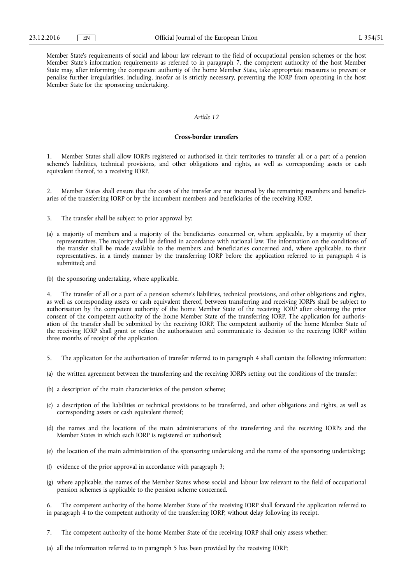Member State's requirements of social and labour law relevant to the field of occupational pension schemes or the host Member State's information requirements as referred to in paragraph 7, the competent authority of the host Member State may, after informing the competent authority of the home Member State, take appropriate measures to prevent or penalise further irregularities, including, insofar as is strictly necessary, preventing the IORP from operating in the host Member State for the sponsoring undertaking.

# *Article 12*

### **Cross-border transfers**

1. Member States shall allow IORPs registered or authorised in their territories to transfer all or a part of a pension scheme's liabilities, technical provisions, and other obligations and rights, as well as corresponding assets or cash equivalent thereof, to a receiving IORP.

2. Member States shall ensure that the costs of the transfer are not incurred by the remaining members and beneficiaries of the transferring IORP or by the incumbent members and beneficiaries of the receiving IORP.

- 3. The transfer shall be subject to prior approval by:
- (a) a majority of members and a majority of the beneficiaries concerned or, where applicable, by a majority of their representatives. The majority shall be defined in accordance with national law. The information on the conditions of the transfer shall be made available to the members and beneficiaries concerned and, where applicable, to their representatives, in a timely manner by the transferring IORP before the application referred to in paragraph 4 is submitted; and
- (b) the sponsoring undertaking, where applicable.

The transfer of all or a part of a pension scheme's liabilities, technical provisions, and other obligations and rights, as well as corresponding assets or cash equivalent thereof, between transferring and receiving IORPs shall be subject to authorisation by the competent authority of the home Member State of the receiving IORP after obtaining the prior consent of the competent authority of the home Member State of the transferring IORP. The application for authorisation of the transfer shall be submitted by the receiving IORP. The competent authority of the home Member State of the receiving IORP shall grant or refuse the authorisation and communicate its decision to the receiving IORP within three months of receipt of the application.

- 5. The application for the authorisation of transfer referred to in paragraph 4 shall contain the following information:
- (a) the written agreement between the transferring and the receiving IORPs setting out the conditions of the transfer;
- (b) a description of the main characteristics of the pension scheme;
- (c) a description of the liabilities or technical provisions to be transferred, and other obligations and rights, as well as corresponding assets or cash equivalent thereof;
- (d) the names and the locations of the main administrations of the transferring and the receiving IORPs and the Member States in which each IORP is registered or authorised;
- (e) the location of the main administration of the sponsoring undertaking and the name of the sponsoring undertaking;
- (f) evidence of the prior approval in accordance with paragraph 3;
- (g) where applicable, the names of the Member States whose social and labour law relevant to the field of occupational pension schemes is applicable to the pension scheme concerned.

6. The competent authority of the home Member State of the receiving IORP shall forward the application referred to in paragraph  $\vec{4}$  to the competent authority of the transferring IORP, without delay following its receipt.

- 7. The competent authority of the home Member State of the receiving IORP shall only assess whether:
- (a) all the information referred to in paragraph 5 has been provided by the receiving IORP;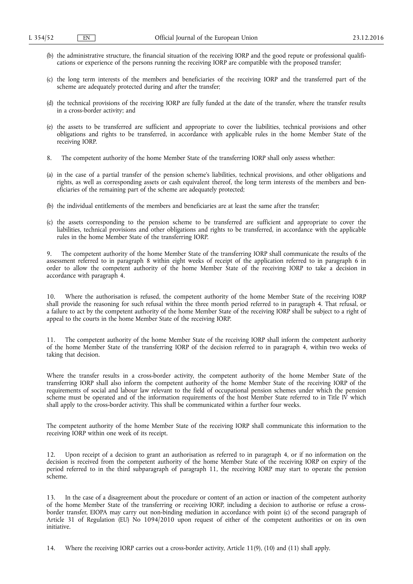- (b) the administrative structure, the financial situation of the receiving IORP and the good repute or professional qualifications or experience of the persons running the receiving IORP are compatible with the proposed transfer;
- (c) the long term interests of the members and beneficiaries of the receiving IORP and the transferred part of the scheme are adequately protected during and after the transfer;
- (d) the technical provisions of the receiving IORP are fully funded at the date of the transfer, where the transfer results in a cross-border activity; and
- (e) the assets to be transferred are sufficient and appropriate to cover the liabilities, technical provisions and other obligations and rights to be transferred, in accordance with applicable rules in the home Member State of the receiving IORP.
- 8. The competent authority of the home Member State of the transferring IORP shall only assess whether:
- (a) in the case of a partial transfer of the pension scheme's liabilities, technical provisions, and other obligations and rights, as well as corresponding assets or cash equivalent thereof, the long term interests of the members and beneficiaries of the remaining part of the scheme are adequately protected;
- (b) the individual entitlements of the members and beneficiaries are at least the same after the transfer;
- (c) the assets corresponding to the pension scheme to be transferred are sufficient and appropriate to cover the liabilities, technical provisions and other obligations and rights to be transferred, in accordance with the applicable rules in the home Member State of the transferring IORP.

9. The competent authority of the home Member State of the transferring IORP shall communicate the results of the assessment referred to in paragraph 8 within eight weeks of receipt of the application referred to in paragraph 6 in order to allow the competent authority of the home Member State of the receiving IORP to take a decision in accordance with paragraph 4.

10. Where the authorisation is refused, the competent authority of the home Member State of the receiving IORP shall provide the reasoning for such refusal within the three month period referred to in paragraph 4. That refusal, or a failure to act by the competent authority of the home Member State of the receiving IORP shall be subject to a right of appeal to the courts in the home Member State of the receiving IORP.

11. The competent authority of the home Member State of the receiving IORP shall inform the competent authority of the home Member State of the transferring IORP of the decision referred to in paragraph 4, within two weeks of taking that decision.

Where the transfer results in a cross-border activity, the competent authority of the home Member State of the transferring IORP shall also inform the competent authority of the home Member State of the receiving IORP of the requirements of social and labour law relevant to the field of occupational pension schemes under which the pension scheme must be operated and of the information requirements of the host Member State referred to in Title IV which shall apply to the cross-border activity. This shall be communicated within a further four weeks.

The competent authority of the home Member State of the receiving IORP shall communicate this information to the receiving IORP within one week of its receipt.

12. Upon receipt of a decision to grant an authorisation as referred to in paragraph 4, or if no information on the decision is received from the competent authority of the home Member State of the receiving IORP on expiry of the period referred to in the third subparagraph of paragraph 11, the receiving IORP may start to operate the pension scheme.

13. In the case of a disagreement about the procedure or content of an action or inaction of the competent authority of the home Member State of the transferring or receiving IORP, including a decision to authorise or refuse a crossborder transfer, EIOPA may carry out non-binding mediation in accordance with point (c) of the second paragraph of Article 31 of Regulation (EU) No 1094/2010 upon request of either of the competent authorities or on its own initiative.

14. Where the receiving IORP carries out a cross-border activity, Article 11(9), (10) and (11) shall apply.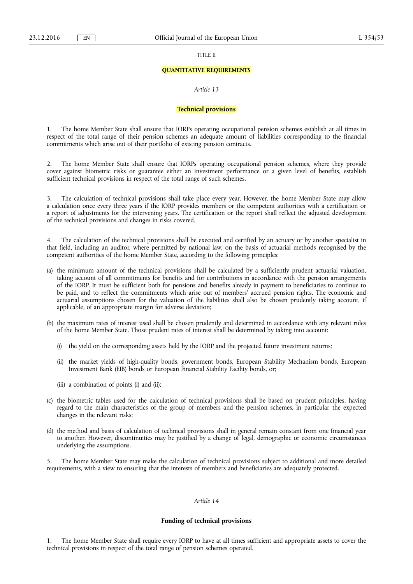TITLE II

#### **QUANTITATIVE REQUIREMENTS**

### *Article 13*

### **Technical provisions**

1. The home Member State shall ensure that IORPs operating occupational pension schemes establish at all times in respect of the total range of their pension schemes an adequate amount of liabilities corresponding to the financial commitments which arise out of their portfolio of existing pension contracts.

2. The home Member State shall ensure that IORPs operating occupational pension schemes, where they provide cover against biometric risks or guarantee either an investment performance or a given level of benefits, establish sufficient technical provisions in respect of the total range of such schemes.

3. The calculation of technical provisions shall take place every year. However, the home Member State may allow a calculation once every three years if the IORP provides members or the competent authorities with a certification or a report of adjustments for the intervening years. The certification or the report shall reflect the adjusted development of the technical provisions and changes in risks covered.

4. The calculation of the technical provisions shall be executed and certified by an actuary or by another specialist in that field, including an auditor, where permitted by national law, on the basis of actuarial methods recognised by the competent authorities of the home Member State, according to the following principles:

- (a) the minimum amount of the technical provisions shall be calculated by a sufficiently prudent actuarial valuation, taking account of all commitments for benefits and for contributions in accordance with the pension arrangements of the IORP. It must be sufficient both for pensions and benefits already in payment to beneficiaries to continue to be paid, and to reflect the commitments which arise out of members' accrued pension rights. The economic and actuarial assumptions chosen for the valuation of the liabilities shall also be chosen prudently taking account, if applicable, of an appropriate margin for adverse deviation;
- (b) the maximum rates of interest used shall be chosen prudently and determined in accordance with any relevant rules of the home Member State. Those prudent rates of interest shall be determined by taking into account:
	- (i) the yield on the corresponding assets held by the IORP and the projected future investment returns;
	- (ii) the market yields of high-quality bonds, government bonds, European Stability Mechanism bonds, European Investment Bank (EIB) bonds or European Financial Stability Facility bonds, or;
	- (iii) a combination of points (i) and (ii);
- (c) the biometric tables used for the calculation of technical provisions shall be based on prudent principles, having regard to the main characteristics of the group of members and the pension schemes, in particular the expected changes in the relevant risks;
- (d) the method and basis of calculation of technical provisions shall in general remain constant from one financial year to another. However, discontinuities may be justified by a change of legal, demographic or economic circumstances underlying the assumptions.

The home Member State may make the calculation of technical provisions subject to additional and more detailed requirements, with a view to ensuring that the interests of members and beneficiaries are adequately protected.

### *Article 14*

### **Funding of technical provisions**

1. The home Member State shall require every IORP to have at all times sufficient and appropriate assets to cover the technical provisions in respect of the total range of pension schemes operated.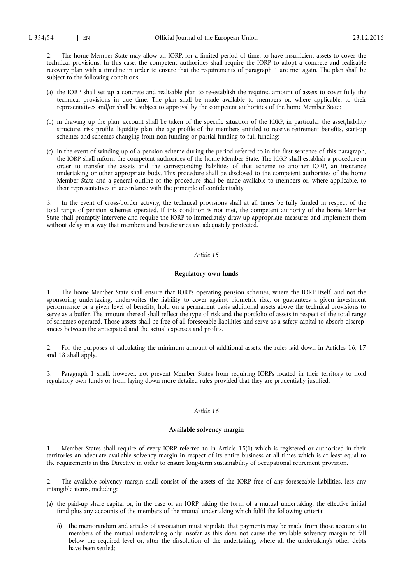2. The home Member State may allow an IORP, for a limited period of time, to have insufficient assets to cover the technical provisions. In this case, the competent authorities shall require the IORP to adopt a concrete and realisable recovery plan with a timeline in order to ensure that the requirements of paragraph 1 are met again. The plan shall be subject to the following conditions:

- (a) the IORP shall set up a concrete and realisable plan to re-establish the required amount of assets to cover fully the technical provisions in due time. The plan shall be made available to members or, where applicable, to their representatives and/or shall be subject to approval by the competent authorities of the home Member State;
- (b) in drawing up the plan, account shall be taken of the specific situation of the IORP, in particular the asset/liability structure, risk profile, liquidity plan, the age profile of the members entitled to receive retirement benefits, start-up schemes and schemes changing from non-funding or partial funding to full funding;
- (c) in the event of winding up of a pension scheme during the period referred to in the first sentence of this paragraph, the IORP shall inform the competent authorities of the home Member State. The IORP shall establish a procedure in order to transfer the assets and the corresponding liabilities of that scheme to another IORP, an insurance undertaking or other appropriate body. This procedure shall be disclosed to the competent authorities of the home Member State and a general outline of the procedure shall be made available to members or, where applicable, to their representatives in accordance with the principle of confidentiality.

3. In the event of cross-border activity, the technical provisions shall at all times be fully funded in respect of the total range of pension schemes operated. If this condition is not met, the competent authority of the home Member State shall promptly intervene and require the IORP to immediately draw up appropriate measures and implement them without delay in a way that members and beneficiaries are adequately protected.

### *Article 15*

### **Regulatory own funds**

1. The home Member State shall ensure that IORPs operating pension schemes, where the IORP itself, and not the sponsoring undertaking, underwrites the liability to cover against biometric risk, or guarantees a given investment performance or a given level of benefits, hold on a permanent basis additional assets above the technical provisions to serve as a buffer. The amount thereof shall reflect the type of risk and the portfolio of assets in respect of the total range of schemes operated. Those assets shall be free of all foreseeable liabilities and serve as a safety capital to absorb discrepancies between the anticipated and the actual expenses and profits.

2. For the purposes of calculating the minimum amount of additional assets, the rules laid down in Articles 16, 17 and 18 shall apply.

3. Paragraph 1 shall, however, not prevent Member States from requiring IORPs located in their territory to hold regulatory own funds or from laying down more detailed rules provided that they are prudentially justified.

#### *Article 16*

### **Available solvency margin**

1. Member States shall require of every IORP referred to in Article 15(1) which is registered or authorised in their territories an adequate available solvency margin in respect of its entire business at all times which is at least equal to the requirements in this Directive in order to ensure long-term sustainability of occupational retirement provision.

The available solvency margin shall consist of the assets of the IORP free of any foreseeable liabilities, less any intangible items, including:

- (a) the paid-up share capital or, in the case of an IORP taking the form of a mutual undertaking, the effective initial fund plus any accounts of the members of the mutual undertaking which fulfil the following criteria:
	- (i) the memorandum and articles of association must stipulate that payments may be made from those accounts to members of the mutual undertaking only insofar as this does not cause the available solvency margin to fall below the required level or, after the dissolution of the undertaking, where all the undertaking's other debts have been settled;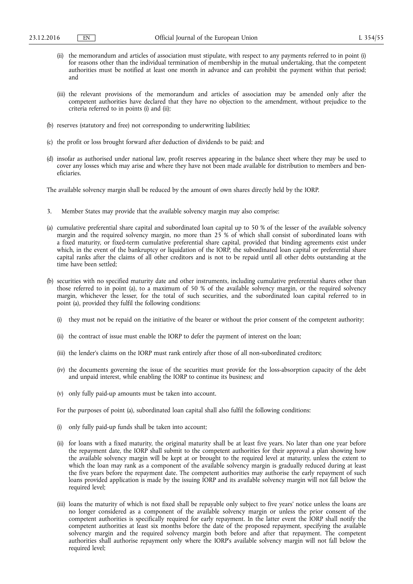- (ii) the memorandum and articles of association must stipulate, with respect to any payments referred to in point (i) for reasons other than the individual termination of membership in the mutual undertaking, that the competent authorities must be notified at least one month in advance and can prohibit the payment within that period; and
- (iii) the relevant provisions of the memorandum and articles of association may be amended only after the competent authorities have declared that they have no objection to the amendment, without prejudice to the criteria referred to in points (i) and (ii);
- (b) reserves (statutory and free) not corresponding to underwriting liabilities;
- (c) the profit or loss brought forward after deduction of dividends to be paid; and
- (d) insofar as authorised under national law, profit reserves appearing in the balance sheet where they may be used to cover any losses which may arise and where they have not been made available for distribution to members and beneficiaries.

The available solvency margin shall be reduced by the amount of own shares directly held by the IORP.

- 3. Member States may provide that the available solvency margin may also comprise:
- (a) cumulative preferential share capital and subordinated loan capital up to 50 % of the lesser of the available solvency margin and the required solvency margin, no more than 25 % of which shall consist of subordinated loans with a fixed maturity, or fixed-term cumulative preferential share capital, provided that binding agreements exist under which, in the event of the bankruptcy or liquidation of the IORP, the subordinated loan capital or preferential share capital ranks after the claims of all other creditors and is not to be repaid until all other debts outstanding at the time have been settled;
- (b) securities with no specified maturity date and other instruments, including cumulative preferential shares other than those referred to in point (a), to a maximum of 50 % of the available solvency margin, or the required solvency margin, whichever the lesser, for the total of such securities, and the subordinated loan capital referred to in point (a), provided they fulfil the following conditions:
	- (i) they must not be repaid on the initiative of the bearer or without the prior consent of the competent authority;
	- (ii) the contract of issue must enable the IORP to defer the payment of interest on the loan;
	- (iii) the lender's claims on the IORP must rank entirely after those of all non-subordinated creditors;
	- (iv) the documents governing the issue of the securities must provide for the loss-absorption capacity of the debt and unpaid interest, while enabling the IORP to continue its business; and
	- (v) only fully paid-up amounts must be taken into account.

For the purposes of point (a), subordinated loan capital shall also fulfil the following conditions:

- (i) only fully paid-up funds shall be taken into account;
- (ii) for loans with a fixed maturity, the original maturity shall be at least five years. No later than one year before the repayment date, the IORP shall submit to the competent authorities for their approval a plan showing how the available solvency margin will be kept at or brought to the required level at maturity, unless the extent to which the loan may rank as a component of the available solvency margin is gradually reduced during at least the five years before the repayment date. The competent authorities may authorise the early repayment of such loans provided application is made by the issuing IORP and its available solvency margin will not fall below the required level;
- (iii) loans the maturity of which is not fixed shall be repayable only subject to five years' notice unless the loans are no longer considered as a component of the available solvency margin or unless the prior consent of the competent authorities is specifically required for early repayment. In the latter event the IORP shall notify the competent authorities at least six months before the date of the proposed repayment, specifying the available solvency margin and the required solvency margin both before and after that repayment. The competent authorities shall authorise repayment only where the IORP's available solvency margin will not fall below the required level;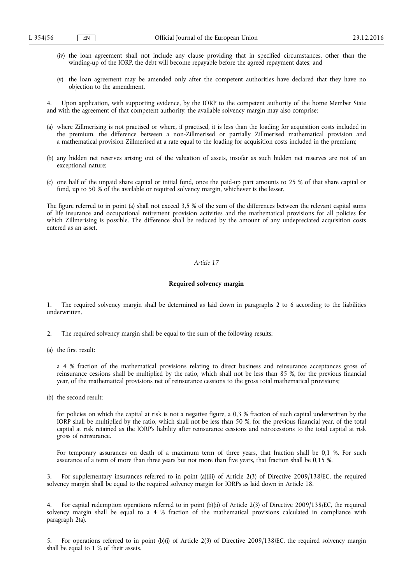- (iv) the loan agreement shall not include any clause providing that in specified circumstances, other than the winding-up of the IORP, the debt will become repayable before the agreed repayment dates; and
- (v) the loan agreement may be amended only after the competent authorities have declared that they have no objection to the amendment.

Upon application, with supporting evidence, by the IORP to the competent authority of the home Member State and with the agreement of that competent authority, the available solvency margin may also comprise:

- (a) where Zillmerising is not practised or where, if practised, it is less than the loading for acquisition costs included in the premium, the difference between a non-Zillmerised or partially Zillmerised mathematical provision and a mathematical provision Zillmerised at a rate equal to the loading for acquisition costs included in the premium;
- (b) any hidden net reserves arising out of the valuation of assets, insofar as such hidden net reserves are not of an exceptional nature;
- (c) one half of the unpaid share capital or initial fund, once the paid-up part amounts to 25 % of that share capital or fund, up to 50 % of the available or required solvency margin, whichever is the lesser.

The figure referred to in point (a) shall not exceed 3,5 % of the sum of the differences between the relevant capital sums of life insurance and occupational retirement provision activities and the mathematical provisions for all policies for which Zillmerising is possible. The difference shall be reduced by the amount of any undepreciated acquisition costs entered as an asset.

### *Article 17*

#### **Required solvency margin**

1. The required solvency margin shall be determined as laid down in paragraphs 2 to 6 according to the liabilities underwritten.

- 2. The required solvency margin shall be equal to the sum of the following results:
- (a) the first result:

a 4 % fraction of the mathematical provisions relating to direct business and reinsurance acceptances gross of reinsurance cessions shall be multiplied by the ratio, which shall not be less than 85 %, for the previous financial year, of the mathematical provisions net of reinsurance cessions to the gross total mathematical provisions;

(b) the second result:

for policies on which the capital at risk is not a negative figure, a 0,3 % fraction of such capital underwritten by the IORP shall be multiplied by the ratio, which shall not be less than 50 %, for the previous financial year, of the total capital at risk retained as the IORP's liability after reinsurance cessions and retrocessions to the total capital at risk gross of reinsurance.

For temporary assurances on death of a maximum term of three years, that fraction shall be 0,1 %. For such assurance of a term of more than three years but not more than five years, that fraction shall be 0,15 %.

3. For supplementary insurances referred to in point (a)(iii) of Article 2(3) of Directive 2009/138/EC, the required solvency margin shall be equal to the required solvency margin for IORPs as laid down in Article 18.

4. For capital redemption operations referred to in point (b)(ii) of Article 2(3) of Directive 2009/138/EC, the required solvency margin shall be equal to a 4 % fraction of the mathematical provisions calculated in compliance with paragraph 2(a).

5. For operations referred to in point (b)(i) of Article 2(3) of Directive 2009/138/EC, the required solvency margin shall be equal to 1 % of their assets.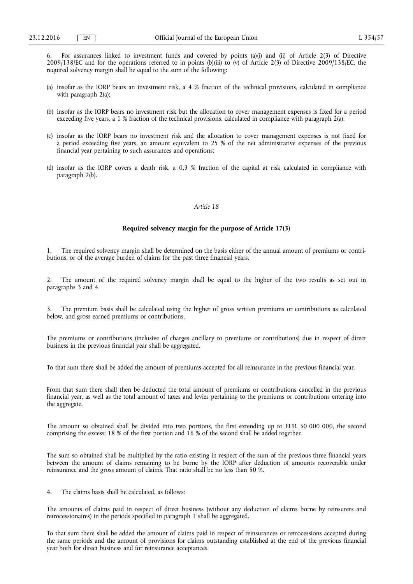6. For assurances linked to investment funds and covered by points (a)(i) and (ii) of Article 2(3) of Directive 2009/138/EC and for the operations referred to in points (b)(iii) to (v) of Article 2(3) of Directive 2009/138/EC, the required solvency margin shall be equal to the sum of the following:

- (a) insofar as the IORP bears an investment risk, a 4 % fraction of the technical provisions, calculated in compliance with paragraph 2(a);
- (b) insofar as the IORP bears no investment risk but the allocation to cover management expenses is fixed for a period exceeding five years, a 1 % fraction of the technical provisions, calculated in compliance with paragraph 2(a);
- (c) insofar as the IORP bears no investment risk and the allocation to cover management expenses is not fixed for a period exceeding five years, an amount equivalent to 25 % of the net administrative expenses of the previous financial year pertaining to such assurances and operations;
- (d) insofar as the IORP covers a death risk, a 0,3 % fraction of the capital at risk calculated in compliance with paragraph 2(b).

#### *Article 18*

### **Required solvency margin for the purpose of Article 17(3)**

1. The required solvency margin shall be determined on the basis either of the annual amount of premiums or contributions, or of the average burden of claims for the past three financial years.

The amount of the required solvency margin shall be equal to the higher of the two results as set out in paragraphs 3 and 4.

3. The premium basis shall be calculated using the higher of gross written premiums or contributions as calculated below, and gross earned premiums or contributions.

The premiums or contributions (inclusive of charges ancillary to premiums or contributions) due in respect of direct business in the previous financial year shall be aggregated.

To that sum there shall be added the amount of premiums accepted for all reinsurance in the previous financial year.

From that sum there shall then be deducted the total amount of premiums or contributions cancelled in the previous financial year, as well as the total amount of taxes and levies pertaining to the premiums or contributions entering into the aggregate.

The amount so obtained shall be divided into two portions, the first extending up to EUR 50 000 000, the second comprising the excess; 18 % of the first portion and 16 % of the second shall be added together.

The sum so obtained shall be multiplied by the ratio existing in respect of the sum of the previous three financial years between the amount of claims remaining to be borne by the IORP after deduction of amounts recoverable under reinsurance and the gross amount of claims. That ratio shall be no less than 50 %.

4. The claims basis shall be calculated, as follows:

The amounts of claims paid in respect of direct business (without any deduction of claims borne by reinsurers and retrocessionaires) in the periods specified in paragraph 1 shall be aggregated.

To that sum there shall be added the amount of claims paid in respect of reinsurances or retrocessions accepted during the same periods and the amount of provisions for claims outstanding established at the end of the previous financial year both for direct business and for reinsurance acceptances.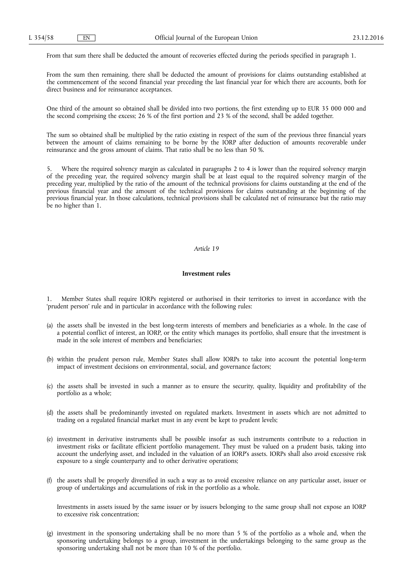From that sum there shall be deducted the amount of recoveries effected during the periods specified in paragraph 1.

From the sum then remaining, there shall be deducted the amount of provisions for claims outstanding established at the commencement of the second financial year preceding the last financial year for which there are accounts, both for direct business and for reinsurance acceptances.

One third of the amount so obtained shall be divided into two portions, the first extending up to EUR 35 000 000 and the second comprising the excess; 26 % of the first portion and 23 % of the second, shall be added together.

The sum so obtained shall be multiplied by the ratio existing in respect of the sum of the previous three financial years between the amount of claims remaining to be borne by the IORP after deduction of amounts recoverable under reinsurance and the gross amount of claims. That ratio shall be no less than 50 %.

Where the required solvency margin as calculated in paragraphs 2 to 4 is lower than the required solvency margin of the preceding year, the required solvency margin shall be at least equal to the required solvency margin of the preceding year, multiplied by the ratio of the amount of the technical provisions for claims outstanding at the end of the previous financial year and the amount of the technical provisions for claims outstanding at the beginning of the previous financial year. In those calculations, technical provisions shall be calculated net of reinsurance but the ratio may be no higher than 1.

### *Article 19*

#### **Investment rules**

1. Member States shall require IORPs registered or authorised in their territories to invest in accordance with the 'prudent person' rule and in particular in accordance with the following rules:

- (a) the assets shall be invested in the best long-term interests of members and beneficiaries as a whole. In the case of a potential conflict of interest, an IORP, or the entity which manages its portfolio, shall ensure that the investment is made in the sole interest of members and beneficiaries;
- (b) within the prudent person rule, Member States shall allow IORPs to take into account the potential long-term impact of investment decisions on environmental, social, and governance factors;
- (c) the assets shall be invested in such a manner as to ensure the security, quality, liquidity and profitability of the portfolio as a whole;
- (d) the assets shall be predominantly invested on regulated markets. Investment in assets which are not admitted to trading on a regulated financial market must in any event be kept to prudent levels;
- (e) investment in derivative instruments shall be possible insofar as such instruments contribute to a reduction in investment risks or facilitate efficient portfolio management. They must be valued on a prudent basis, taking into account the underlying asset, and included in the valuation of an IORP's assets. IORPs shall also avoid excessive risk exposure to a single counterparty and to other derivative operations;
- (f) the assets shall be properly diversified in such a way as to avoid excessive reliance on any particular asset, issuer or group of undertakings and accumulations of risk in the portfolio as a whole.

Investments in assets issued by the same issuer or by issuers belonging to the same group shall not expose an IORP to excessive risk concentration;

(g) investment in the sponsoring undertaking shall be no more than 5 % of the portfolio as a whole and, when the sponsoring undertaking belongs to a group, investment in the undertakings belonging to the same group as the sponsoring undertaking shall not be more than 10 % of the portfolio.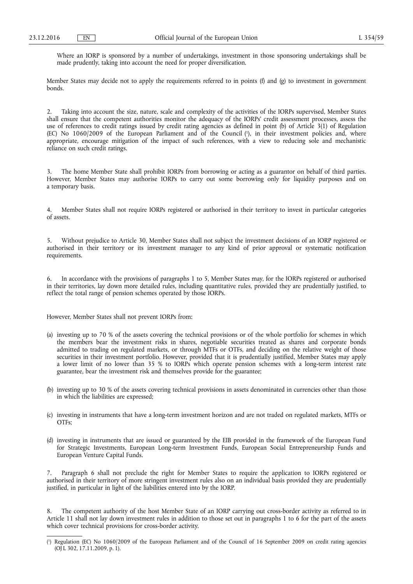Where an IORP is sponsored by a number of undertakings, investment in those sponsoring undertakings shall be made prudently, taking into account the need for proper diversification.

Member States may decide not to apply the requirements referred to in points (f) and (g) to investment in government bonds.

Taking into account the size, nature, scale and complexity of the activities of the IORPs supervised, Member States shall ensure that the competent authorities monitor the adequacy of the IORPs' credit assessment processes, assess the use of references to credit ratings issued by credit rating agencies as defined in point (b) of Article 3(1) of Regulation (EC) No 1060/2009 of the European Parliament and of the Council ( 1 ), in their investment policies and, where appropriate, encourage mitigation of the impact of such references, with a view to reducing sole and mechanistic reliance on such credit ratings.

3. The home Member State shall prohibit IORPs from borrowing or acting as a guarantor on behalf of third parties. However, Member States may authorise IORPs to carry out some borrowing only for liquidity purposes and on a temporary basis.

4. Member States shall not require IORPs registered or authorised in their territory to invest in particular categories of assets.

5. Without prejudice to Article 30, Member States shall not subject the investment decisions of an IORP registered or authorised in their territory or its investment manager to any kind of prior approval or systematic notification requirements.

6. In accordance with the provisions of paragraphs 1 to 5, Member States may, for the IORPs registered or authorised in their territories, lay down more detailed rules, including quantitative rules, provided they are prudentially justified, to reflect the total range of pension schemes operated by those IORPs.

However, Member States shall not prevent IORPs from:

- (a) investing up to 70 % of the assets covering the technical provisions or of the whole portfolio for schemes in which the members bear the investment risks in shares, negotiable securities treated as shares and corporate bonds admitted to trading on regulated markets, or through MTFs or OTFs, and deciding on the relative weight of those securities in their investment portfolio. However, provided that it is prudentially justified, Member States may apply a lower limit of no lower than 35 % to IORPs which operate pension schemes with a long-term interest rate guarantee, bear the investment risk and themselves provide for the guarantee;
- (b) investing up to 30 % of the assets covering technical provisions in assets denominated in currencies other than those in which the liabilities are expressed;
- (c) investing in instruments that have a long-term investment horizon and are not traded on regulated markets, MTFs or OTFs;
- (d) investing in instruments that are issued or guaranteed by the EIB provided in the framework of the European Fund for Strategic Investments, European Long-term Investment Funds, European Social Entrepreneurship Funds and European Venture Capital Funds.

7. Paragraph 6 shall not preclude the right for Member States to require the application to IORPs registered or authorised in their territory of more stringent investment rules also on an individual basis provided they are prudentially justified, in particular in light of the liabilities entered into by the IORP.

8. The competent authority of the host Member State of an IORP carrying out cross-border activity as referred to in Article 11 shall not lay down investment rules in addition to those set out in paragraphs 1 to 6 for the part of the assets which cover technical provisions for cross-border activity.

<sup>(</sup> 1 ) Regulation (EC) No 1060/2009 of the European Parliament and of the Council of 16 September 2009 on credit rating agencies (OJ L 302, 17.11.2009, p. 1).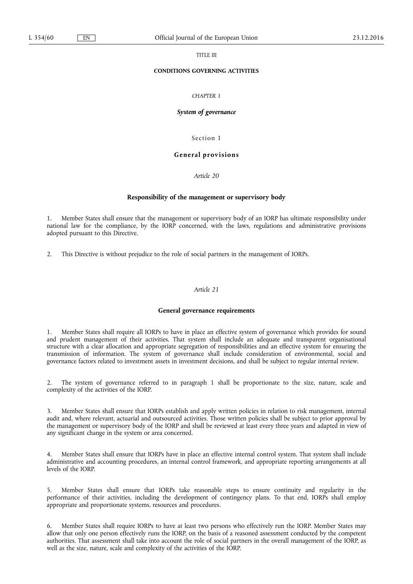TITLE III

### **CONDITIONS GOVERNING ACTIVITIES**

### *CHAPTER 1*

### *System of governance*

Section 1

### **General provisions**

*Article 20* 

#### **Responsibility of the management or supervisory body**

1. Member States shall ensure that the management or supervisory body of an IORP has ultimate responsibility under national law for the compliance, by the IORP concerned, with the laws, regulations and administrative provisions adopted pursuant to this Directive.

2. This Directive is without prejudice to the role of social partners in the management of IORPs.

#### *Article 21*

#### **General governance requirements**

1. Member States shall require all IORPs to have in place an effective system of governance which provides for sound and prudent management of their activities. That system shall include an adequate and transparent organisational structure with a clear allocation and appropriate segregation of responsibilities and an effective system for ensuring the transmission of information. The system of governance shall include consideration of environmental, social and governance factors related to investment assets in investment decisions, and shall be subject to regular internal review.

2. The system of governance referred to in paragraph 1 shall be proportionate to the size, nature, scale and complexity of the activities of the IORP.

3. Member States shall ensure that IORPs establish and apply written policies in relation to risk management, internal audit and, where relevant, actuarial and outsourced activities. Those written policies shall be subject to prior approval by the management or supervisory body of the IORP and shall be reviewed at least every three years and adapted in view of any significant change in the system or area concerned.

Member States shall ensure that IORPs have in place an effective internal control system. That system shall include administrative and accounting procedures, an internal control framework, and appropriate reporting arrangements at all levels of the IORP.

5. Member States shall ensure that IORPs take reasonable steps to ensure continuity and regularity in the performance of their activities, including the development of contingency plans. To that end, IORPs shall employ appropriate and proportionate systems, resources and procedures.

6. Member States shall require IORPs to have at least two persons who effectively run the IORP. Member States may allow that only one person effectively runs the IORP, on the basis of a reasoned assessment conducted by the competent authorities. That assessment shall take into account the role of social partners in the overall management of the IORP, as well as the size, nature, scale and complexity of the activities of the IORP.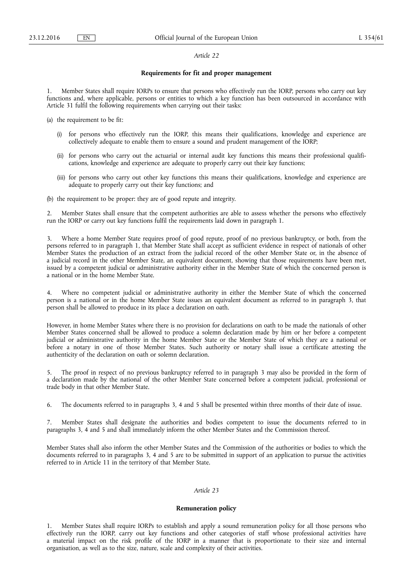#### *Article 22*

### **Requirements for fit and proper management**

1. Member States shall require IORPs to ensure that persons who effectively run the IORP, persons who carry out key functions and, where applicable, persons or entities to which a key function has been outsourced in accordance with Article 31 fulfil the following requirements when carrying out their tasks:

- (a) the requirement to be fit:
	- (i) for persons who effectively run the IORP, this means their qualifications, knowledge and experience are collectively adequate to enable them to ensure a sound and prudent management of the IORP;
	- (ii) for persons who carry out the actuarial or internal audit key functions this means their professional qualifications, knowledge and experience are adequate to properly carry out their key functions;
	- (iii) for persons who carry out other key functions this means their qualifications, knowledge and experience are adequate to properly carry out their key functions; and
- (b) the requirement to be proper: they are of good repute and integrity.

2. Member States shall ensure that the competent authorities are able to assess whether the persons who effectively run the IORP or carry out key functions fulfil the requirements laid down in paragraph 1.

3. Where a home Member State requires proof of good repute, proof of no previous bankruptcy, or both, from the persons referred to in paragraph 1, that Member State shall accept as sufficient evidence in respect of nationals of other Member States the production of an extract from the judicial record of the other Member State or, in the absence of a judicial record in the other Member State, an equivalent document, showing that those requirements have been met, issued by a competent judicial or administrative authority either in the Member State of which the concerned person is a national or in the home Member State.

4. Where no competent judicial or administrative authority in either the Member State of which the concerned person is a national or in the home Member State issues an equivalent document as referred to in paragraph 3, that person shall be allowed to produce in its place a declaration on oath.

However, in home Member States where there is no provision for declarations on oath to be made the nationals of other Member States concerned shall be allowed to produce a solemn declaration made by him or her before a competent judicial or administrative authority in the home Member State or the Member State of which they are a national or before a notary in one of those Member States. Such authority or notary shall issue a certificate attesting the authenticity of the declaration on oath or solemn declaration.

5. The proof in respect of no previous bankruptcy referred to in paragraph 3 may also be provided in the form of a declaration made by the national of the other Member State concerned before a competent judicial, professional or trade body in that other Member State.

6. The documents referred to in paragraphs 3, 4 and 5 shall be presented within three months of their date of issue.

7. Member States shall designate the authorities and bodies competent to issue the documents referred to in paragraphs 3, 4 and 5 and shall immediately inform the other Member States and the Commission thereof.

Member States shall also inform the other Member States and the Commission of the authorities or bodies to which the documents referred to in paragraphs 3, 4 and 5 are to be submitted in support of an application to pursue the activities referred to in Article 11 in the territory of that Member State.

### *Article 23*

### **Remuneration policy**

1. Member States shall require IORPs to establish and apply a sound remuneration policy for all those persons who effectively run the IORP, carry out key functions and other categories of staff whose professional activities have a material impact on the risk profile of the IORP in a manner that is proportionate to their size and internal organisation, as well as to the size, nature, scale and complexity of their activities.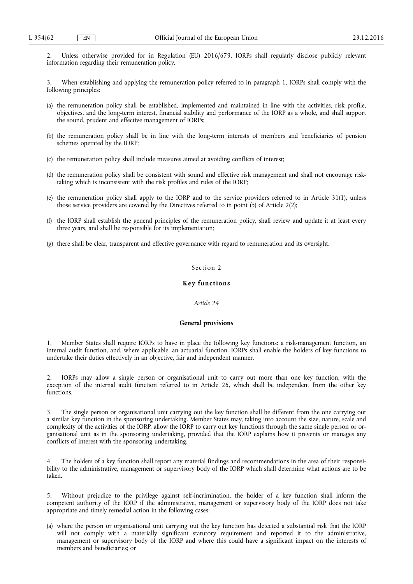2. Unless otherwise provided for in Regulation (EU) 2016/679, IORPs shall regularly disclose publicly relevant information regarding their remuneration policy.

3. When establishing and applying the remuneration policy referred to in paragraph 1, IORPs shall comply with the following principles:

- (a) the remuneration policy shall be established, implemented and maintained in line with the activities, risk profile, objectives, and the long-term interest, financial stability and performance of the IORP as a whole, and shall support the sound, prudent and effective management of IORPs;
- (b) the remuneration policy shall be in line with the long-term interests of members and beneficiaries of pension schemes operated by the IORP;
- (c) the remuneration policy shall include measures aimed at avoiding conflicts of interest;
- (d) the remuneration policy shall be consistent with sound and effective risk management and shall not encourage risktaking which is inconsistent with the risk profiles and rules of the IORP;
- (e) the remuneration policy shall apply to the IORP and to the service providers referred to in Article 31(1), unless those service providers are covered by the Directives referred to in point (b) of Article 2(2);
- (f) the IORP shall establish the general principles of the remuneration policy, shall review and update it at least every three years, and shall be responsible for its implementation;
- (g) there shall be clear, transparent and effective governance with regard to remuneration and its oversight.

### Section 2

### **Key functions**

### *Article 24*

### **General provisions**

1. Member States shall require IORPs to have in place the following key functions: a risk-management function, an internal audit function, and, where applicable, an actuarial function. IORPs shall enable the holders of key functions to undertake their duties effectively in an objective, fair and independent manner.

2. IORPs may allow a single person or organisational unit to carry out more than one key function, with the exception of the internal audit function referred to in Article 26, which shall be independent from the other key functions.

3. The single person or organisational unit carrying out the key function shall be different from the one carrying out a similar key function in the sponsoring undertaking. Member States may, taking into account the size, nature, scale and complexity of the activities of the IORP, allow the IORP to carry out key functions through the same single person or organisational unit as in the sponsoring undertaking, provided that the IORP explains how it prevents or manages any conflicts of interest with the sponsoring undertaking.

The holders of a key function shall report any material findings and recommendations in the area of their responsibility to the administrative, management or supervisory body of the IORP which shall determine what actions are to be taken.

5. Without prejudice to the privilege against self-incrimination, the holder of a key function shall inform the competent authority of the IORP if the administrative, management or supervisory body of the IORP does not take appropriate and timely remedial action in the following cases:

(a) where the person or organisational unit carrying out the key function has detected a substantial risk that the IORP will not comply with a materially significant statutory requirement and reported it to the administrative, management or supervisory body of the IORP and where this could have a significant impact on the interests of members and beneficiaries; or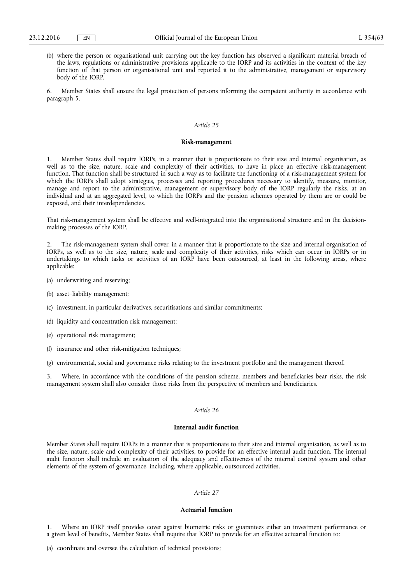(b) where the person or organisational unit carrying out the key function has observed a significant material breach of the laws, regulations or administrative provisions applicable to the IORP and its activities in the context of the key function of that person or organisational unit and reported it to the administrative, management or supervisory body of the IORP.

6. Member States shall ensure the legal protection of persons informing the competent authority in accordance with paragraph 5.

### *Article 25*

#### **Risk-management**

1. Member States shall require IORPs, in a manner that is proportionate to their size and internal organisation, as well as to the size, nature, scale and complexity of their activities, to have in place an effective risk-management function. That function shall be structured in such a way as to facilitate the functioning of a risk-management system for which the IORPs shall adopt strategies, processes and reporting procedures necessary to identify, measure, monitor, manage and report to the administrative, management or supervisory body of the IORP regularly the risks, at an individual and at an aggregated level, to which the IORPs and the pension schemes operated by them are or could be exposed, and their interdependencies.

That risk-management system shall be effective and well-integrated into the organisational structure and in the decisionmaking processes of the IORP.

2. The risk-management system shall cover, in a manner that is proportionate to the size and internal organisation of IORPs, as well as to the size, nature, scale and complexity of their activities, risks which can occur in IORPs or in undertakings to which tasks or activities of an IORP have been outsourced, at least in the following areas, where applicable:

- (a) underwriting and reserving;
- (b) asset–liability management;
- (c) investment, in particular derivatives, securitisations and similar commitments;
- (d) liquidity and concentration risk management;
- (e) operational risk management;
- (f) insurance and other risk-mitigation techniques;
- (g) environmental, social and governance risks relating to the investment portfolio and the management thereof.

Where, in accordance with the conditions of the pension scheme, members and beneficiaries bear risks, the risk management system shall also consider those risks from the perspective of members and beneficiaries.

#### *Article 26*

### **Internal audit function**

Member States shall require IORPs in a manner that is proportionate to their size and internal organisation, as well as to the size, nature, scale and complexity of their activities, to provide for an effective internal audit function. The internal audit function shall include an evaluation of the adequacy and effectiveness of the internal control system and other elements of the system of governance, including, where applicable, outsourced activities.

### *Article 27*

#### **Actuarial function**

Where an IORP itself provides cover against biometric risks or guarantees either an investment performance or a given level of benefits, Member States shall require that IORP to provide for an effective actuarial function to: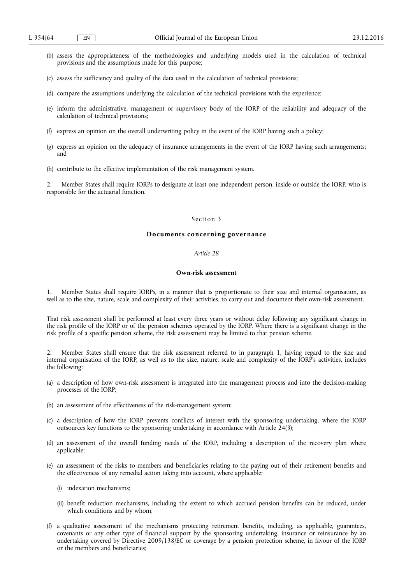- (b) assess the appropriateness of the methodologies and underlying models used in the calculation of technical provisions and the assumptions made for this purpose;
- (c) assess the sufficiency and quality of the data used in the calculation of technical provisions;
- (d) compare the assumptions underlying the calculation of the technical provisions with the experience;
- (e) inform the administrative, management or supervisory body of the IORP of the reliability and adequacy of the calculation of technical provisions;
- (f) express an opinion on the overall underwriting policy in the event of the IORP having such a policy;
- (g) express an opinion on the adequacy of insurance arrangements in the event of the IORP having such arrangements; and
- (h) contribute to the effective implementation of the risk management system.

2. Member States shall require IORPs to designate at least one independent person, inside or outside the IORP, who is responsible for the actuarial function.

### Section 3

### **Documents concerning governance**

### *Article 28*

### **Own-risk assessment**

1. Member States shall require IORPs, in a manner that is proportionate to their size and internal organisation, as well as to the size, nature, scale and complexity of their activities, to carry out and document their own-risk assessment.

That risk assessment shall be performed at least every three years or without delay following any significant change in the risk profile of the IORP or of the pension schemes operated by the IORP. Where there is a significant change in the risk profile of a specific pension scheme, the risk assessment may be limited to that pension scheme.

2. Member States shall ensure that the risk assessment referred to in paragraph 1, having regard to the size and internal organisation of the IORP, as well as to the size, nature, scale and complexity of the IORP's activities, includes the following:

- (a) a description of how own-risk assessment is integrated into the management process and into the decision-making processes of the IORP;
- (b) an assessment of the effectiveness of the risk-management system;
- (c) a description of how the IORP prevents conflicts of interest with the sponsoring undertaking, where the IORP outsources key functions to the sponsoring undertaking in accordance with Article 24(3);
- (d) an assessment of the overall funding needs of the IORP, including a description of the recovery plan where applicable;
- (e) an assessment of the risks to members and beneficiaries relating to the paying out of their retirement benefits and the effectiveness of any remedial action taking into account, where applicable:
	- (i) indexation mechanisms;
	- (ii) benefit reduction mechanisms, including the extent to which accrued pension benefits can be reduced, under which conditions and by whom;
- (f) a qualitative assessment of the mechanisms protecting retirement benefits, including, as applicable, guarantees, covenants or any other type of financial support by the sponsoring undertaking, insurance or reinsurance by an undertaking covered by Directive 2009/138/EC or coverage by a pension protection scheme, in favour of the IORP or the members and beneficiaries;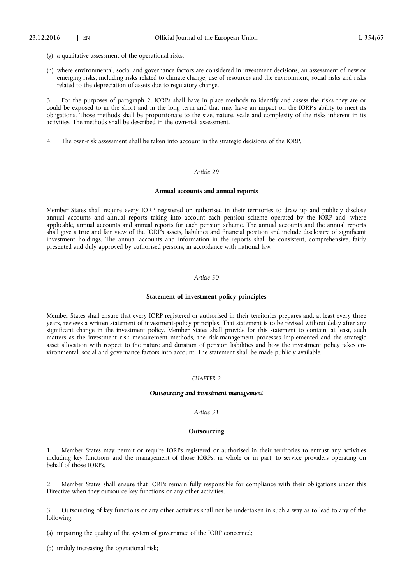- (g) a qualitative assessment of the operational risks;
- (h) where environmental, social and governance factors are considered in investment decisions, an assessment of new or emerging risks, including risks related to climate change, use of resources and the environment, social risks and risks related to the depreciation of assets due to regulatory change.

3. For the purposes of paragraph 2, IORPs shall have in place methods to identify and assess the risks they are or could be exposed to in the short and in the long term and that may have an impact on the IORP's ability to meet its obligations. Those methods shall be proportionate to the size, nature, scale and complexity of the risks inherent in its activities. The methods shall be described in the own-risk assessment.

4. The own-risk assessment shall be taken into account in the strategic decisions of the IORP.

### *Article 29*

#### **Annual accounts and annual reports**

Member States shall require every IORP registered or authorised in their territories to draw up and publicly disclose annual accounts and annual reports taking into account each pension scheme operated by the IORP and, where applicable, annual accounts and annual reports for each pension scheme. The annual accounts and the annual reports shall give a true and fair view of the IORP's assets, liabilities and financial position and include disclosure of significant investment holdings. The annual accounts and information in the reports shall be consistent, comprehensive, fairly presented and duly approved by authorised persons, in accordance with national law.

### *Article 30*

### **Statement of investment policy principles**

Member States shall ensure that every IORP registered or authorised in their territories prepares and, at least every three years, reviews a written statement of investment-policy principles. That statement is to be revised without delay after any significant change in the investment policy. Member States shall provide for this statement to contain, at least, such matters as the investment risk measurement methods, the risk-management processes implemented and the strategic asset allocation with respect to the nature and duration of pension liabilities and how the investment policy takes environmental, social and governance factors into account. The statement shall be made publicly available.

### *CHAPTER 2*

#### *Outsourcing and investment management*

### *Article 31*

#### **Outsourcing**

1. Member States may permit or require IORPs registered or authorised in their territories to entrust any activities including key functions and the management of those IORPs, in whole or in part, to service providers operating on behalf of those IORPs.

2. Member States shall ensure that IORPs remain fully responsible for compliance with their obligations under this Directive when they outsource key functions or any other activities.

3. Outsourcing of key functions or any other activities shall not be undertaken in such a way as to lead to any of the following:

- (a) impairing the quality of the system of governance of the IORP concerned;
- (b) unduly increasing the operational risk;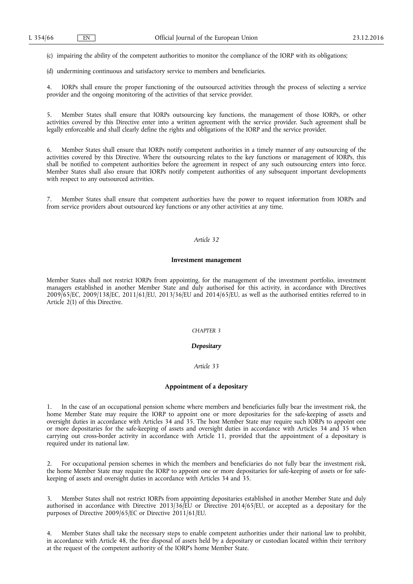(c) impairing the ability of the competent authorities to monitor the compliance of the IORP with its obligations;

(d) undermining continuous and satisfactory service to members and beneficiaries.

4. IORPs shall ensure the proper functioning of the outsourced activities through the process of selecting a service provider and the ongoing monitoring of the activities of that service provider.

5. Member States shall ensure that IORPs outsourcing key functions, the management of those IORPs, or other activities covered by this Directive enter into a written agreement with the service provider. Such agreement shall be legally enforceable and shall clearly define the rights and obligations of the IORP and the service provider.

6. Member States shall ensure that IORPs notify competent authorities in a timely manner of any outsourcing of the activities covered by this Directive. Where the outsourcing relates to the key functions or management of IORPs, this shall be notified to competent authorities before the agreement in respect of any such outsourcing enters into force. Member States shall also ensure that IORPs notify competent authorities of any subsequent important developments with respect to any outsourced activities.

7. Member States shall ensure that competent authorities have the power to request information from IORPs and from service providers about outsourced key functions or any other activities at any time.

### *Article 32*

#### **Investment management**

Member States shall not restrict IORPs from appointing, for the management of the investment portfolio, investment managers established in another Member State and duly authorised for this activity, in accordance with Directives 2009/65/EC, 2009/138/EC, 2011/61/EU, 2013/36/EU and 2014/65/EU, as well as the authorised entities referred to in Article 2(1) of this Directive.

### *CHAPTER 3*

### *Depositary*

#### *Article 33*

### **Appointment of a depositary**

1. In the case of an occupational pension scheme where members and beneficiaries fully bear the investment risk, the home Member State may require the IORP to appoint one or more depositaries for the safe-keeping of assets and oversight duties in accordance with Articles 34 and 35. The host Member State may require such IORPs to appoint one or more depositaries for the safe-keeping of assets and oversight duties in accordance with Articles 34 and 35 when carrying out cross-border activity in accordance with Article 11, provided that the appointment of a depositary is required under its national law.

2. For occupational pension schemes in which the members and beneficiaries do not fully bear the investment risk, the home Member State may require the IORP to appoint one or more depositaries for safe-keeping of assets or for safekeeping of assets and oversight duties in accordance with Articles 34 and 35.

3. Member States shall not restrict IORPs from appointing depositaries established in another Member State and duly authorised in accordance with Directive 2013/36/EU or Directive 2014/65/EU, or accepted as a depositary for the purposes of Directive 2009/65/EC or Directive 2011/61/EU.

4. Member States shall take the necessary steps to enable competent authorities under their national law to prohibit, in accordance with Article 48, the free disposal of assets held by a depositary or custodian located within their territory at the request of the competent authority of the IORP's home Member State.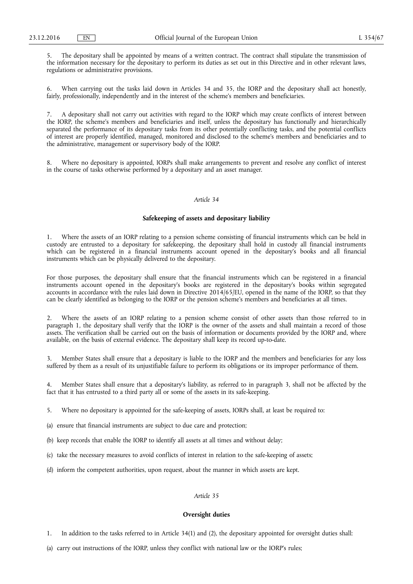5. The depositary shall be appointed by means of a written contract. The contract shall stipulate the transmission of the information necessary for the depositary to perform its duties as set out in this Directive and in other relevant laws, regulations or administrative provisions.

6. When carrying out the tasks laid down in Articles 34 and 35, the IORP and the depositary shall act honestly, fairly, professionally, independently and in the interest of the scheme's members and beneficiaries.

7. A depositary shall not carry out activities with regard to the IORP which may create conflicts of interest between the IORP, the scheme's members and beneficiaries and itself, unless the depositary has functionally and hierarchically separated the performance of its depositary tasks from its other potentially conflicting tasks, and the potential conflicts of interest are properly identified, managed, monitored and disclosed to the scheme's members and beneficiaries and to the administrative, management or supervisory body of the IORP.

8. Where no depositary is appointed, IORPs shall make arrangements to prevent and resolve any conflict of interest in the course of tasks otherwise performed by a depositary and an asset manager.

### *Article 34*

### **Safekeeping of assets and depositary liability**

1. Where the assets of an IORP relating to a pension scheme consisting of financial instruments which can be held in custody are entrusted to a depositary for safekeeping, the depositary shall hold in custody all financial instruments which can be registered in a financial instruments account opened in the depositary's books and all financial instruments which can be physically delivered to the depositary.

For those purposes, the depositary shall ensure that the financial instruments which can be registered in a financial instruments account opened in the depositary's books are registered in the depositary's books within segregated accounts in accordance with the rules laid down in Directive 2014/65/EU, opened in the name of the IORP, so that they can be clearly identified as belonging to the IORP or the pension scheme's members and beneficiaries at all times.

2. Where the assets of an IORP relating to a pension scheme consist of other assets than those referred to in paragraph 1, the depositary shall verify that the IORP is the owner of the assets and shall maintain a record of those assets. The verification shall be carried out on the basis of information or documents provided by the IORP and, where available, on the basis of external evidence. The depositary shall keep its record up-to-date.

3. Member States shall ensure that a depositary is liable to the IORP and the members and beneficiaries for any loss suffered by them as a result of its unjustifiable failure to perform its obligations or its improper performance of them.

Member States shall ensure that a depositary's liability, as referred to in paragraph 3, shall not be affected by the fact that it has entrusted to a third party all or some of the assets in its safe-keeping.

5. Where no depositary is appointed for the safe-keeping of assets, IORPs shall, at least be required to:

(a) ensure that financial instruments are subject to due care and protection;

(b) keep records that enable the IORP to identify all assets at all times and without delay;

(c) take the necessary measures to avoid conflicts of interest in relation to the safe-keeping of assets;

(d) inform the competent authorities, upon request, about the manner in which assets are kept.

### *Article 35*

#### **Oversight duties**

1. In addition to the tasks referred to in Article 34(1) and (2), the depositary appointed for oversight duties shall:

(a) carry out instructions of the IORP, unless they conflict with national law or the IORP's rules;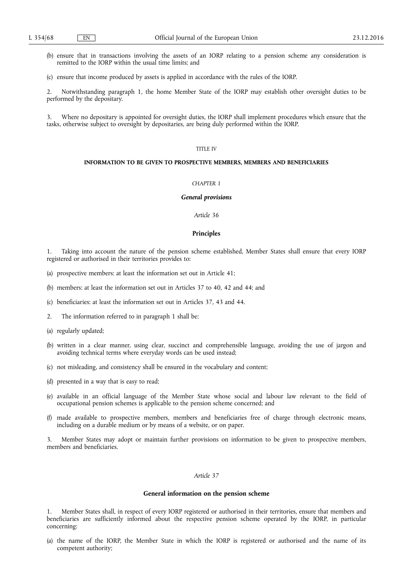- (b) ensure that in transactions involving the assets of an IORP relating to a pension scheme any consideration is remitted to the IORP within the usual time limits; and
- (c) ensure that income produced by assets is applied in accordance with the rules of the IORP.

2. Notwithstanding paragraph 1, the home Member State of the IORP may establish other oversight duties to be performed by the depositary.

3. Where no depositary is appointed for oversight duties, the IORP shall implement procedures which ensure that the tasks, otherwise subject to oversight by depositaries, are being duly performed within the IORP.

## TITLE IV

### **INFORMATION TO BE GIVEN TO PROSPECTIVE MEMBERS, MEMBERS AND BENEFICIARIES**

### *CHAPTER 1*

#### *General provisions*

#### *Article 36*

#### **Principles**

1. Taking into account the nature of the pension scheme established, Member States shall ensure that every IORP registered or authorised in their territories provides to:

- (a) prospective members: at least the information set out in Article 41;
- (b) members: at least the information set out in Articles 37 to 40, 42 and 44; and
- (c) beneficiaries: at least the information set out in Articles 37, 43 and 44.
- 2. The information referred to in paragraph 1 shall be:
- (a) regularly updated;
- (b) written in a clear manner, using clear, succinct and comprehensible language, avoiding the use of jargon and avoiding technical terms where everyday words can be used instead;
- (c) not misleading, and consistency shall be ensured in the vocabulary and content;
- (d) presented in a way that is easy to read;
- (e) available in an official language of the Member State whose social and labour law relevant to the field of occupational pension schemes is applicable to the pension scheme concerned; and
- (f) made available to prospective members, members and beneficiaries free of charge through electronic means, including on a durable medium or by means of a website, or on paper.

3. Member States may adopt or maintain further provisions on information to be given to prospective members, members and beneficiaries.

### *Article 37*

#### **General information on the pension scheme**

1. Member States shall, in respect of every IORP registered or authorised in their territories, ensure that members and beneficiaries are sufficiently informed about the respective pension scheme operated by the IORP, in particular concerning:

(a) the name of the IORP, the Member State in which the IORP is registered or authorised and the name of its competent authority;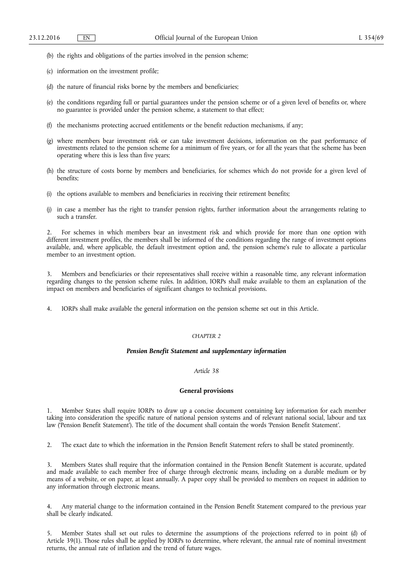- (b) the rights and obligations of the parties involved in the pension scheme;
- (c) information on the investment profile;
- (d) the nature of financial risks borne by the members and beneficiaries;
- (e) the conditions regarding full or partial guarantees under the pension scheme or of a given level of benefits or, where no guarantee is provided under the pension scheme, a statement to that effect;
- (f) the mechanisms protecting accrued entitlements or the benefit reduction mechanisms, if any;
- (g) where members bear investment risk or can take investment decisions, information on the past performance of investments related to the pension scheme for a minimum of five years, or for all the years that the scheme has been operating where this is less than five years;
- (h) the structure of costs borne by members and beneficiaries, for schemes which do not provide for a given level of benefits;
- (i) the options available to members and beneficiaries in receiving their retirement benefits;
- (j) in case a member has the right to transfer pension rights, further information about the arrangements relating to such a transfer.

2. For schemes in which members bear an investment risk and which provide for more than one option with different investment profiles, the members shall be informed of the conditions regarding the range of investment options available, and, where applicable, the default investment option and, the pension scheme's rule to allocate a particular member to an investment option.

3. Members and beneficiaries or their representatives shall receive within a reasonable time, any relevant information regarding changes to the pension scheme rules. In addition, IORPs shall make available to them an explanation of the impact on members and beneficiaries of significant changes to technical provisions.

4. IORPs shall make available the general information on the pension scheme set out in this Article.

### *CHAPTER 2*

### *Pension Benefit Statement and supplementary information*

### *Article 38*

### **General provisions**

1. Member States shall require IORPs to draw up a concise document containing key information for each member taking into consideration the specific nature of national pension systems and of relevant national social, labour and tax law ('Pension Benefit Statement'). The title of the document shall contain the words 'Pension Benefit Statement'.

2. The exact date to which the information in the Pension Benefit Statement refers to shall be stated prominently.

3. Members States shall require that the information contained in the Pension Benefit Statement is accurate, updated and made available to each member free of charge through electronic means, including on a durable medium or by means of a website, or on paper, at least annually. A paper copy shall be provided to members on request in addition to any information through electronic means.

4. Any material change to the information contained in the Pension Benefit Statement compared to the previous year shall be clearly indicated.

5. Member States shall set out rules to determine the assumptions of the projections referred to in point (d) of Article 39(1). Those rules shall be applied by IORPs to determine, where relevant, the annual rate of nominal investment returns, the annual rate of inflation and the trend of future wages.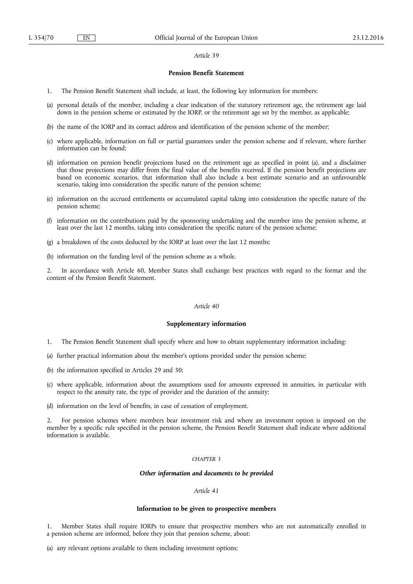### *Article 39*

### **Pension Benefit Statement**

- 1. The Pension Benefit Statement shall include, at least, the following key information for members:
- (a) personal details of the member, including a clear indication of the statutory retirement age, the retirement age laid down in the pension scheme or estimated by the IORP, or the retirement age set by the member, as applicable;
- (b) the name of the IORP and its contact address and identification of the pension scheme of the member;
- (c) where applicable, information on full or partial guarantees under the pension scheme and if relevant, where further information can be found;
- (d) information on pension benefit projections based on the retirement age as specified in point (a), and a disclaimer that those projections may differ from the final value of the benefits received. If the pension benefit projections are based on economic scenarios, that information shall also include a best estimate scenario and an unfavourable scenario, taking into consideration the specific nature of the pension scheme;
- (e) information on the accrued entitlements or accumulated capital taking into consideration the specific nature of the pension scheme;
- (f) information on the contributions paid by the sponsoring undertaking and the member into the pension scheme, at least over the last 12 months, taking into consideration the specific nature of the pension scheme;
- (g) a breakdown of the costs deducted by the IORP at least over the last 12 months;
- (h) information on the funding level of the pension scheme as a whole.

2. In accordance with Article 60, Member States shall exchange best practices with regard to the format and the content of the Pension Benefit Statement.

### *Article 40*

#### **Supplementary information**

- 1. The Pension Benefit Statement shall specify where and how to obtain supplementary information including:
- (a) further practical information about the member's options provided under the pension scheme;
- (b) the information specified in Articles 29 and 30;
- (c) where applicable, information about the assumptions used for amounts expressed in annuities, in particular with respect to the annuity rate, the type of provider and the duration of the annuity;
- (d) information on the level of benefits, in case of cessation of employment.

2. For pension schemes where members bear investment risk and where an investment option is imposed on the member by a specific rule specified in the pension scheme, the Pension Benefit Statement shall indicate where additional information is available.

### *CHAPTER 3*

#### *Other information and documents to be provided*

### *Article 41*

#### **Information to be given to prospective members**

1. Member States shall require IORPs to ensure that prospective members who are not automatically enrolled in a pension scheme are informed, before they join that pension scheme, about:

(a) any relevant options available to them including investment options;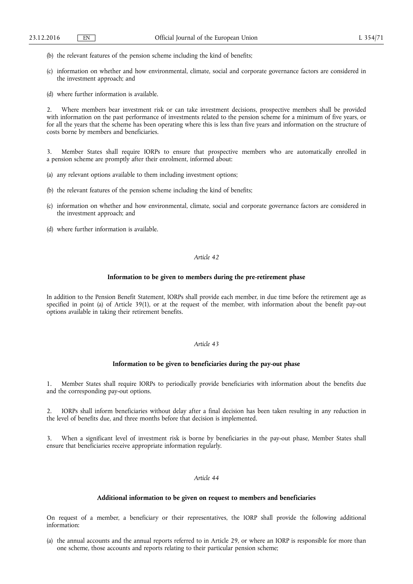- (b) the relevant features of the pension scheme including the kind of benefits;
- (c) information on whether and how environmental, climate, social and corporate governance factors are considered in the investment approach; and
- (d) where further information is available.

2. Where members bear investment risk or can take investment decisions, prospective members shall be provided with information on the past performance of investments related to the pension scheme for a minimum of five years, or for all the years that the scheme has been operating where this is less than five years and information on the structure of costs borne by members and beneficiaries.

3. Member States shall require IORPs to ensure that prospective members who are automatically enrolled in a pension scheme are promptly after their enrolment, informed about:

- (a) any relevant options available to them including investment options;
- (b) the relevant features of the pension scheme including the kind of benefits;
- (c) information on whether and how environmental, climate, social and corporate governance factors are considered in the investment approach; and
- (d) where further information is available.

### *Article 42*

### **Information to be given to members during the pre-retirement phase**

In addition to the Pension Benefit Statement, IORPs shall provide each member, in due time before the retirement age as specified in point (a) of Article 39(1), or at the request of the member, with information about the benefit pay-out options available in taking their retirement benefits.

### *Article 43*

#### **Information to be given to beneficiaries during the pay-out phase**

1. Member States shall require IORPs to periodically provide beneficiaries with information about the benefits due and the corresponding pay-out options.

2. IORPs shall inform beneficiaries without delay after a final decision has been taken resulting in any reduction in the level of benefits due, and three months before that decision is implemented.

When a significant level of investment risk is borne by beneficiaries in the pay-out phase, Member States shall ensure that beneficiaries receive appropriate information regularly.

### *Article 44*

#### **Additional information to be given on request to members and beneficiaries**

On request of a member, a beneficiary or their representatives, the IORP shall provide the following additional information:

(a) the annual accounts and the annual reports referred to in Article 29, or where an IORP is responsible for more than one scheme, those accounts and reports relating to their particular pension scheme;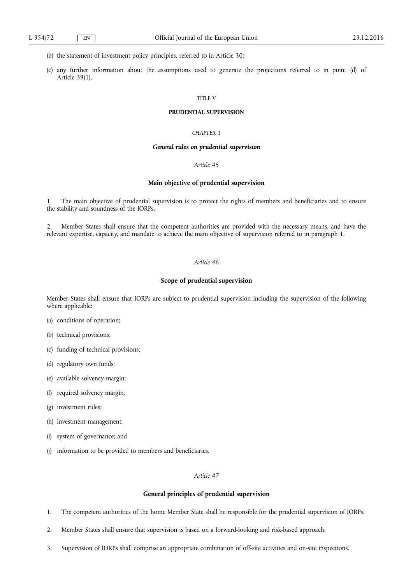- (b) the statement of investment policy principles, referred to in Article 30;
- (c) any further information about the assumptions used to generate the projections referred to in point (d) of Article 39(1).

### TITLE V

### **PRUDENTIAL SUPERVISION**

### *CHAPTER 1*

### *General rules on prudential supervision*

### *Article 45*

### **Main objective of prudential supervision**

1. The main objective of prudential supervision is to protect the rights of members and beneficiaries and to ensure the stability and soundness of the IORPs.

2. Member States shall ensure that the competent authorities are provided with the necessary means, and have the relevant expertise, capacity, and mandate to achieve the main objective of supervision referred to in paragraph 1.

### *Article 46*

### **Scope of prudential supervision**

Member States shall ensure that IORPs are subject to prudential supervision including the supervision of the following where applicable:

- (a) conditions of operation;
- (b) technical provisions;
- (c) funding of technical provisions;
- (d) regulatory own funds;
- (e) available solvency margin;
- (f) required solvency margin;
- (g) investment rules;
- (h) investment management;
- (i) system of governance; and
- (j) information to be provided to members and beneficiaries.

### *Article 47*

#### **General principles of prudential supervision**

- 1. The competent authorities of the home Member State shall be responsible for the prudential supervision of IORPs.
- 2. Member States shall ensure that supervision is based on a forward-looking and risk-based approach.
- 3. Supervision of IORPs shall comprise an appropriate combination of off-site activities and on-site inspections.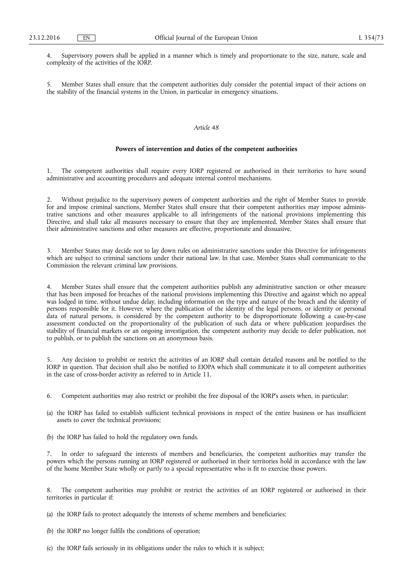4. Supervisory powers shall be applied in a manner which is timely and proportionate to the size, nature, scale and complexity of the activities of the IORP.

5. Member States shall ensure that the competent authorities duly consider the potential impact of their actions on the stability of the financial systems in the Union, in particular in emergency situations.

### *Article 48*

### **Powers of intervention and duties of the competent authorities**

1. The competent authorities shall require every IORP registered or authorised in their territories to have sound administrative and accounting procedures and adequate internal control mechanisms.

2. Without prejudice to the supervisory powers of competent authorities and the right of Member States to provide for and impose criminal sanctions, Member States shall ensure that their competent authorities may impose administrative sanctions and other measures applicable to all infringements of the national provisions implementing this Directive, and shall take all measures necessary to ensure that they are implemented. Member States shall ensure that their administrative sanctions and other measures are effective, proportionate and dissuasive.

3. Member States may decide not to lay down rules on administrative sanctions under this Directive for infringements which are subject to criminal sanctions under their national law. In that case, Member States shall communicate to the Commission the relevant criminal law provisions.

4. Member States shall ensure that the competent authorities publish any administrative sanction or other measure that has been imposed for breaches of the national provisions implementing this Directive and against which no appeal was lodged in time, without undue delay, including information on the type and nature of the breach and the identity of persons responsible for it. However, where the publication of the identity of the legal persons, or identity or personal data of natural persons, is considered by the competent authority to be disproportionate following a case-by-case assessment conducted on the proportionality of the publication of such data or where publication jeopardises the stability of financial markets or an ongoing investigation, the competent authority may decide to defer publication, not to publish, or to publish the sanctions on an anonymous basis.

5. Any decision to prohibit or restrict the activities of an IORP shall contain detailed reasons and be notified to the IORP in question. That decision shall also be notified to EIOPA which shall communicate it to all competent authorities in the case of cross-border activity as referred to in Article 11.

- 6. Competent authorities may also restrict or prohibit the free disposal of the IORP's assets when, in particular:
- (a) the IORP has failed to establish sufficient technical provisions in respect of the entire business or has insufficient assets to cover the technical provisions;
- (b) the IORP has failed to hold the regulatory own funds.

7. In order to safeguard the interests of members and beneficiaries, the competent authorities may transfer the powers which the persons running an IORP registered or authorised in their territories hold in accordance with the law of the home Member State wholly or partly to a special representative who is fit to exercise those powers.

The competent authorities may prohibit or restrict the activities of an IORP registered or authorised in their territories in particular if:

(a) the IORP fails to protect adequately the interests of scheme members and beneficiaries;

- (b) the IORP no longer fulfils the conditions of operation;
- (c) the IORP fails seriously in its obligations under the rules to which it is subject;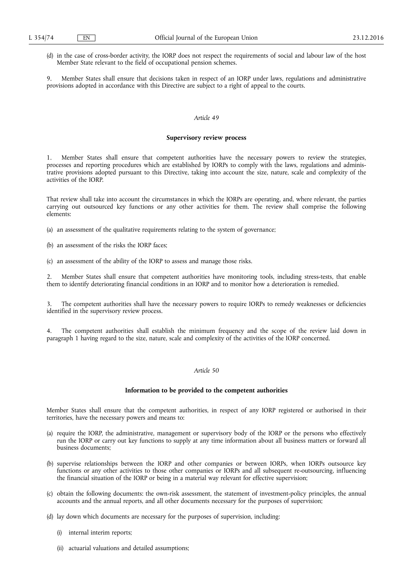(d) in the case of cross-border activity, the IORP does not respect the requirements of social and labour law of the host Member State relevant to the field of occupational pension schemes.

9. Member States shall ensure that decisions taken in respect of an IORP under laws, regulations and administrative provisions adopted in accordance with this Directive are subject to a right of appeal to the courts.

#### *Article 49*

#### **Supervisory review process**

1. Member States shall ensure that competent authorities have the necessary powers to review the strategies, processes and reporting procedures which are established by IORPs to comply with the laws, regulations and administrative provisions adopted pursuant to this Directive, taking into account the size, nature, scale and complexity of the activities of the IORP.

That review shall take into account the circumstances in which the IORPs are operating, and, where relevant, the parties carrying out outsourced key functions or any other activities for them. The review shall comprise the following elements:

- (a) an assessment of the qualitative requirements relating to the system of governance;
- (b) an assessment of the risks the IORP faces;
- (c) an assessment of the ability of the IORP to assess and manage those risks.

2. Member States shall ensure that competent authorities have monitoring tools, including stress-tests, that enable them to identify deteriorating financial conditions in an IORP and to monitor how a deterioration is remedied.

3. The competent authorities shall have the necessary powers to require IORPs to remedy weaknesses or deficiencies identified in the supervisory review process.

4. The competent authorities shall establish the minimum frequency and the scope of the review laid down in paragraph 1 having regard to the size, nature, scale and complexity of the activities of the IORP concerned.

## *Article 50*

### **Information to be provided to the competent authorities**

Member States shall ensure that the competent authorities, in respect of any IORP registered or authorised in their territories, have the necessary powers and means to:

- (a) require the IORP, the administrative, management or supervisory body of the IORP or the persons who effectively run the IORP or carry out key functions to supply at any time information about all business matters or forward all business documents;
- (b) supervise relationships between the IORP and other companies or between IORPs, when IORPs outsource key functions or any other activities to those other companies or IORPs and all subsequent re-outsourcing, influencing the financial situation of the IORP or being in a material way relevant for effective supervision;
- (c) obtain the following documents: the own-risk assessment, the statement of investment-policy principles, the annual accounts and the annual reports, and all other documents necessary for the purposes of supervision;
- (d) lay down which documents are necessary for the purposes of supervision, including:
	- (i) internal interim reports;
	- (ii) actuarial valuations and detailed assumptions;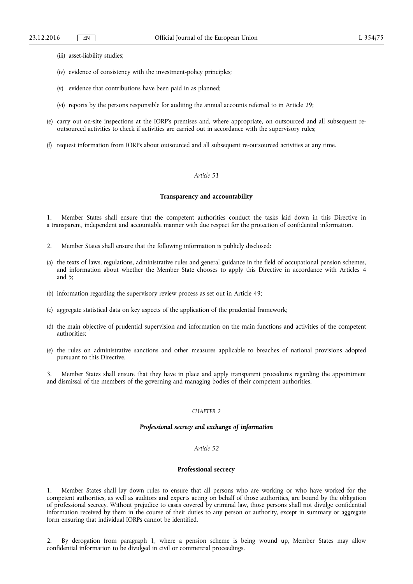- (iii) asset-liability studies;
- (iv) evidence of consistency with the investment-policy principles;
- (v) evidence that contributions have been paid in as planned;
- (vi) reports by the persons responsible for auditing the annual accounts referred to in Article 29;
- (e) carry out on-site inspections at the IORP's premises and, where appropriate, on outsourced and all subsequent reoutsourced activities to check if activities are carried out in accordance with the supervisory rules;
- (f) request information from IORPs about outsourced and all subsequent re-outsourced activities at any time.

#### *Article 51*

### **Transparency and accountability**

1. Member States shall ensure that the competent authorities conduct the tasks laid down in this Directive in a transparent, independent and accountable manner with due respect for the protection of confidential information.

- 2. Member States shall ensure that the following information is publicly disclosed:
- (a) the texts of laws, regulations, administrative rules and general guidance in the field of occupational pension schemes, and information about whether the Member State chooses to apply this Directive in accordance with Articles 4 and 5;
- (b) information regarding the supervisory review process as set out in Article 49;
- (c) aggregate statistical data on key aspects of the application of the prudential framework;
- (d) the main objective of prudential supervision and information on the main functions and activities of the competent authorities;
- (e) the rules on administrative sanctions and other measures applicable to breaches of national provisions adopted pursuant to this Directive.

3. Member States shall ensure that they have in place and apply transparent procedures regarding the appointment and dismissal of the members of the governing and managing bodies of their competent authorities.

### *CHAPTER 2*

### *Professional secrecy and exchange of information*

### *Article 52*

#### **Professional secrecy**

1. Member States shall lay down rules to ensure that all persons who are working or who have worked for the competent authorities, as well as auditors and experts acting on behalf of those authorities, are bound by the obligation of professional secrecy. Without prejudice to cases covered by criminal law, those persons shall not divulge confidential information received by them in the course of their duties to any person or authority, except in summary or aggregate form ensuring that individual IORPs cannot be identified.

2. By derogation from paragraph 1, where a pension scheme is being wound up, Member States may allow confidential information to be divulged in civil or commercial proceedings.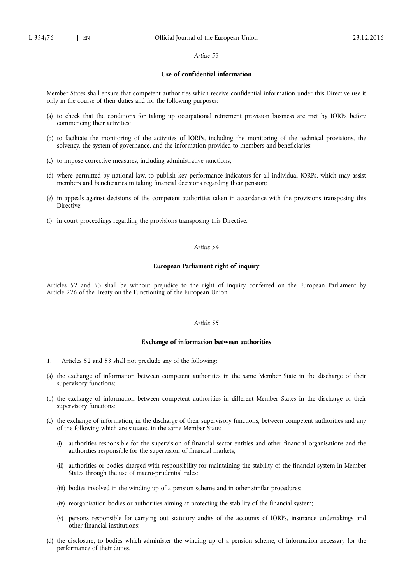#### *Article 53*

### **Use of confidential information**

Member States shall ensure that competent authorities which receive confidential information under this Directive use it only in the course of their duties and for the following purposes:

- (a) to check that the conditions for taking up occupational retirement provision business are met by IORPs before commencing their activities;
- (b) to facilitate the monitoring of the activities of IORPs, including the monitoring of the technical provisions, the solvency, the system of governance, and the information provided to members and beneficiaries;
- (c) to impose corrective measures, including administrative sanctions;
- (d) where permitted by national law, to publish key performance indicators for all individual IORPs, which may assist members and beneficiaries in taking financial decisions regarding their pension;
- (e) in appeals against decisions of the competent authorities taken in accordance with the provisions transposing this Directive;
- (f) in court proceedings regarding the provisions transposing this Directive.

### *Article 54*

### **European Parliament right of inquiry**

Articles 52 and 53 shall be without prejudice to the right of inquiry conferred on the European Parliament by Article 226 of the Treaty on the Functioning of the European Union.

### *Article 55*

#### **Exchange of information between authorities**

- 1. Articles 52 and 53 shall not preclude any of the following:
- (a) the exchange of information between competent authorities in the same Member State in the discharge of their supervisory functions;
- (b) the exchange of information between competent authorities in different Member States in the discharge of their supervisory functions;
- (c) the exchange of information, in the discharge of their supervisory functions, between competent authorities and any of the following which are situated in the same Member State:
	- (i) authorities responsible for the supervision of financial sector entities and other financial organisations and the authorities responsible for the supervision of financial markets;
	- (ii) authorities or bodies charged with responsibility for maintaining the stability of the financial system in Member States through the use of macro-prudential rules;
	- (iii) bodies involved in the winding up of a pension scheme and in other similar procedures;
	- (iv) reorganisation bodies or authorities aiming at protecting the stability of the financial system;
	- (v) persons responsible for carrying out statutory audits of the accounts of IORPs, insurance undertakings and other financial institutions;
- (d) the disclosure, to bodies which administer the winding up of a pension scheme, of information necessary for the performance of their duties.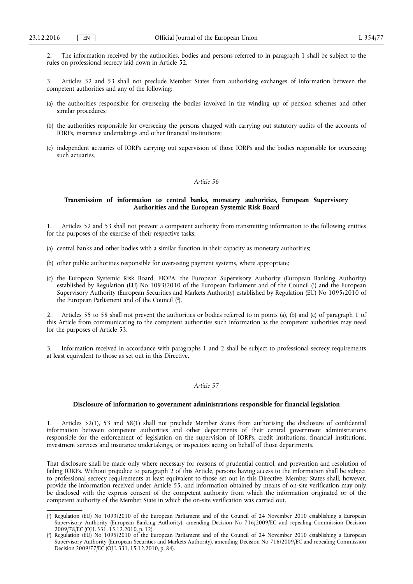2. The information received by the authorities, bodies and persons referred to in paragraph 1 shall be subject to the rules on professional secrecy laid down in Article 52.

3. Articles 52 and 53 shall not preclude Member States from authorising exchanges of information between the competent authorities and any of the following:

- (a) the authorities responsible for overseeing the bodies involved in the winding up of pension schemes and other similar procedures;
- (b) the authorities responsible for overseeing the persons charged with carrying out statutory audits of the accounts of IORPs, insurance undertakings and other financial institutions;
- (c) independent actuaries of IORPs carrying out supervision of those IORPs and the bodies responsible for overseeing such actuaries.

### *Article 56*

### **Transmission of information to central banks, monetary authorities, European Supervisory Authorities and the European Systemic Risk Board**

1. Articles 52 and 53 shall not prevent a competent authority from transmitting information to the following entities for the purposes of the exercise of their respective tasks:

- (a) central banks and other bodies with a similar function in their capacity as monetary authorities;
- (b) other public authorities responsible for overseeing payment systems, where appropriate;
- (c) the European Systemic Risk Board, EIOPA, the European Supervisory Authority (European Banking Authority) established by Regulation (EU) No 1093/2010 of the European Parliament and of the Council ( 1 ) and the European Supervisory Authority (European Securities and Markets Authority) established by Regulation (EU) No 1095/2010 of the European Parliament and of the Council ( 2 ).

2. Articles 55 to 58 shall not prevent the authorities or bodies referred to in points (a), (b) and (c) of paragraph 1 of this Article from communicating to the competent authorities such information as the competent authorities may need for the purposes of Article 53.

Information received in accordance with paragraphs 1 and 2 shall be subject to professional secrecy requirements at least equivalent to those as set out in this Directive.

### *Article 57*

#### **Disclosure of information to government administrations responsible for financial legislation**

Articles 52(1), 53 and 58(1) shall not preclude Member States from authorising the disclosure of confidential information between competent authorities and other departments of their central government administrations responsible for the enforcement of legislation on the supervision of IORPs, credit institutions, financial institutions, investment services and insurance undertakings, or inspectors acting on behalf of those departments.

That disclosure shall be made only where necessary for reasons of prudential control, and prevention and resolution of failing IORPs. Without prejudice to paragraph 2 of this Article, persons having access to the information shall be subject to professional secrecy requirements at least equivalent to those set out in this Directive. Member States shall, however, provide the information received under Article 55, and information obtained by means of on-site verification may only be disclosed with the express consent of the competent authority from which the information originated or of the competent authority of the Member State in which the on-site verification was carried out.

<sup>(</sup> 1 ) Regulation (EU) No 1093/2010 of the European Parliament and of the Council of 24 November 2010 establishing a European Supervisory Authority (European Banking Authority), amending Decision No 716/2009/EC and repealing Commission Decision 2009/78/EC (OJ L 331, 15.12.2010, p. 12).

<sup>(</sup> 2 ) Regulation (EU) No 1095/2010 of the European Parliament and of the Council of 24 November 2010 establishing a European Supervisory Authority (European Securities and Markets Authority), amending Decision No 716/2009/EC and repealing Commission Decision 2009/77/EC (OJ L 331, 15.12.2010, p. 84).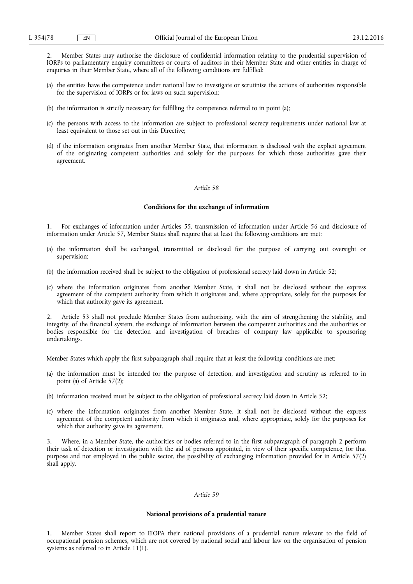2. Member States may authorise the disclosure of confidential information relating to the prudential supervision of IORPs to parliamentary enquiry committees or courts of auditors in their Member State and other entities in charge of enquiries in their Member State, where all of the following conditions are fulfilled:

- (a) the entities have the competence under national law to investigate or scrutinise the actions of authorities responsible for the supervision of IORPs or for laws on such supervision;
- (b) the information is strictly necessary for fulfilling the competence referred to in point (a);
- (c) the persons with access to the information are subject to professional secrecy requirements under national law at least equivalent to those set out in this Directive;
- (d) if the information originates from another Member State, that information is disclosed with the explicit agreement of the originating competent authorities and solely for the purposes for which those authorities gave their agreement.

#### *Article 58*

#### **Conditions for the exchange of information**

1. For exchanges of information under Articles 55, transmission of information under Article 56 and disclosure of information under Article 57, Member States shall require that at least the following conditions are met:

- (a) the information shall be exchanged, transmitted or disclosed for the purpose of carrying out oversight or supervision;
- (b) the information received shall be subject to the obligation of professional secrecy laid down in Article 52;
- (c) where the information originates from another Member State, it shall not be disclosed without the express agreement of the competent authority from which it originates and, where appropriate, solely for the purposes for which that authority gave its agreement.

2. Article 53 shall not preclude Member States from authorising, with the aim of strengthening the stability, and integrity, of the financial system, the exchange of information between the competent authorities and the authorities or bodies responsible for the detection and investigation of breaches of company law applicable to sponsoring undertakings.

Member States which apply the first subparagraph shall require that at least the following conditions are met:

- (a) the information must be intended for the purpose of detection, and investigation and scrutiny as referred to in point (a) of Article 57(2);
- (b) information received must be subject to the obligation of professional secrecy laid down in Article 52;
- (c) where the information originates from another Member State, it shall not be disclosed without the express agreement of the competent authority from which it originates and, where appropriate, solely for the purposes for which that authority gave its agreement.

3. Where, in a Member State, the authorities or bodies referred to in the first subparagraph of paragraph 2 perform their task of detection or investigation with the aid of persons appointed, in view of their specific competence, for that purpose and not employed in the public sector, the possibility of exchanging information provided for in Article 57(2) shall apply.

### *Article 59*

#### **National provisions of a prudential nature**

1. Member States shall report to EIOPA their national provisions of a prudential nature relevant to the field of occupational pension schemes, which are not covered by national social and labour law on the organisation of pension systems as referred to in Article 11(1).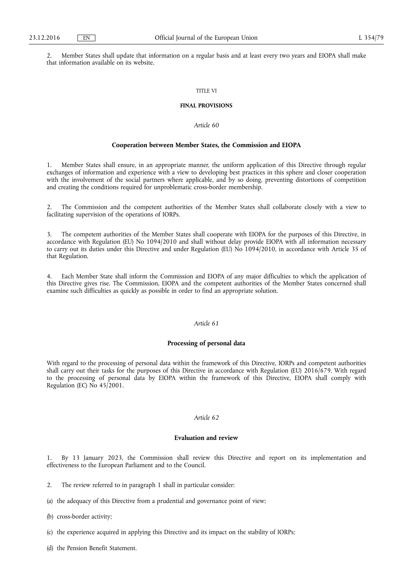2. Member States shall update that information on a regular basis and at least every two years and EIOPA shall make that information available on its website.

#### TITLE VI

#### **FINAL PROVISIONS**

## *Article 60*

#### **Cooperation between Member States, the Commission and EIOPA**

1. Member States shall ensure, in an appropriate manner, the uniform application of this Directive through regular exchanges of information and experience with a view to developing best practices in this sphere and closer cooperation with the involvement of the social partners where applicable, and by so doing, preventing distortions of competition and creating the conditions required for unproblematic cross-border membership.

2. The Commission and the competent authorities of the Member States shall collaborate closely with a view to facilitating supervision of the operations of IORPs.

3. The competent authorities of the Member States shall cooperate with EIOPA for the purposes of this Directive, in accordance with Regulation (EU) No 1094/2010 and shall without delay provide EIOPA with all information necessary to carry out its duties under this Directive and under Regulation (EU) No 1094/2010, in accordance with Article 35 of that Regulation.

4. Each Member State shall inform the Commission and EIOPA of any major difficulties to which the application of this Directive gives rise. The Commission, EIOPA and the competent authorities of the Member States concerned shall examine such difficulties as quickly as possible in order to find an appropriate solution.

### *Article 61*

#### **Processing of personal data**

With regard to the processing of personal data within the framework of this Directive, IORPs and competent authorities shall carry out their tasks for the purposes of this Directive in accordance with Regulation (EU) 2016/679. With regard to the processing of personal data by EIOPA within the framework of this Directive, EIOPA shall comply with Regulation (EC) No 45/2001.

### *Article 62*

#### **Evaluation and review**

1. By 13 January 2023, the Commission shall review this Directive and report on its implementation and effectiveness to the European Parliament and to the Council.

- 2. The review referred to in paragraph 1 shall in particular consider:
- (a) the adequacy of this Directive from a prudential and governance point of view;
- (b) cross-border activity;
- (c) the experience acquired in applying this Directive and its impact on the stability of IORPs;
- (d) the Pension Benefit Statement.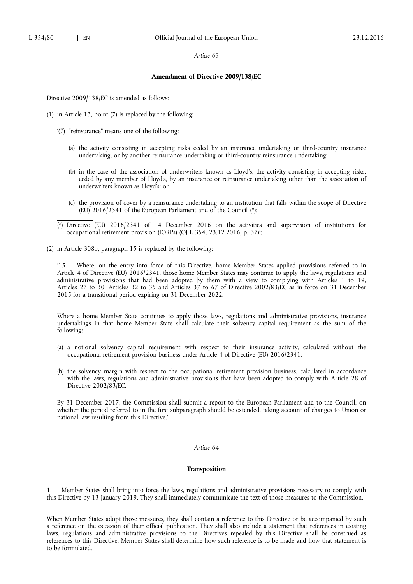#### *Article 63*

#### **Amendment of Directive 2009/138/EC**

Directive 2009/138/EC is amended as follows:

- (1) in Article 13, point (7) is replaced by the following:
	- '(7) "reinsurance" means one of the following:
		- (a) the activity consisting in accepting risks ceded by an insurance undertaking or third-country insurance undertaking, or by another reinsurance undertaking or third-country reinsurance undertaking;
		- (b) in the case of the association of underwriters known as Lloyd's, the activity consisting in accepting risks, ceded by any member of Lloyd's, by an insurance or reinsurance undertaking other than the association of underwriters known as Lloyd's; or
		- (c) the provision of cover by a reinsurance undertaking to an institution that falls within the scope of Directive (EU) 2016/2341 of the European Parliament and of the Council (\*);
	- (\*) Directive (EU) 2016/2341 of 14 December 2016 on the activities and supervision of institutions for occupational retirement provision (IORPs) (OJ L 354, 23.12.2016, p. 37)';
- (2) in Article 308b, paragraph 15 is replaced by the following:

'15. Where, on the entry into force of this Directive, home Member States applied provisions referred to in Article 4 of Directive (EU) 2016/2341, those home Member States may continue to apply the laws, regulations and administrative provisions that had been adopted by them with a view to complying with Articles 1 to 19, Articles 27 to 30, Articles 32 to 35 and Articles 37 to 67 of Directive 2002/83/EC as in force on 31 December 2015 for a transitional period expiring on 31 December 2022.

Where a home Member State continues to apply those laws, regulations and administrative provisions, insurance undertakings in that home Member State shall calculate their solvency capital requirement as the sum of the following:

- (a) a notional solvency capital requirement with respect to their insurance activity, calculated without the occupational retirement provision business under Article 4 of Directive (EU) 2016/2341;
- (b) the solvency margin with respect to the occupational retirement provision business, calculated in accordance with the laws, regulations and administrative provisions that have been adopted to comply with Article 28 of Directive 2002/83/EC.

By 31 December 2017, the Commission shall submit a report to the European Parliament and to the Council, on whether the period referred to in the first subparagraph should be extended, taking account of changes to Union or national law resulting from this Directive.'.

### *Article 64*

### **Transposition**

1. Member States shall bring into force the laws, regulations and administrative provisions necessary to comply with this Directive by 13 January 2019. They shall immediately communicate the text of those measures to the Commission.

When Member States adopt those measures, they shall contain a reference to this Directive or be accompanied by such a reference on the occasion of their official publication. They shall also include a statement that references in existing laws, regulations and administrative provisions to the Directives repealed by this Directive shall be construed as references to this Directive. Member States shall determine how such reference is to be made and how that statement is to be formulated.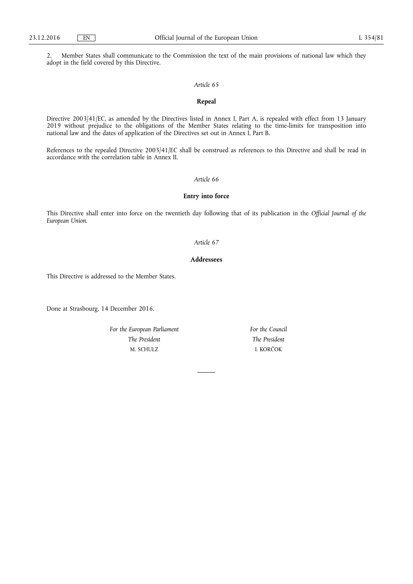2. Member States shall communicate to the Commission the text of the main provisions of national law which they adopt in the field covered by this Directive.

### *Article 65*

## **Repeal**

Directive 2003/41/EC, as amended by the Directives listed in Annex I, Part A, is repealed with effect from 13 January 2019 without prejudice to the obligations of the Member States relating to the time-limits for transposition into national law and the dates of application of the Directives set out in Annex I, Part B.

References to the repealed Directive 2003/41/EC shall be construed as references to this Directive and shall be read in accordance with the correlation table in Annex II.

### *Article 66*

### **Entry into force**

This Directive shall enter into force on the twentieth day following that of its publication in the *Official Journal of the European Union*.

#### *Article 67*

### **Addressees**

This Directive is addressed to the Member States.

Done at Strasbourg, 14 December 2016.

*For the European Parliament The President*  M. SCHULZ

*For the Council The President*  I. KORČOK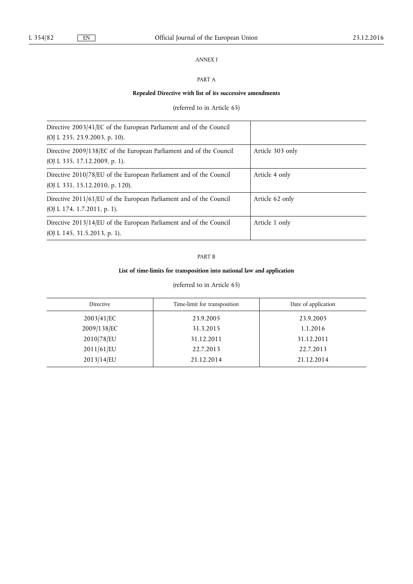# *ANNEX I*

# PART A

## **Repealed Directive with list of its successive amendments**

# (referred to in Article 65)

| Directive 2003/41/EC of the European Parliament and of the Council                                    |                  |
|-------------------------------------------------------------------------------------------------------|------------------|
| (OJ L 235, 23.9.2003, p. 10).                                                                         |                  |
| Directive 2009/138/EC of the European Parliament and of the Council<br>(OJ L 335, 17.12.2009, p. 1).  | Article 303 only |
| Directive 2010/78/EU of the European Parliament and of the Council<br>(OJ L 331, 15.12.2010, p. 120). | Article 4 only   |
| Directive 2011/61/EU of the European Parliament and of the Council<br>(OJ L 174, 1.7.2011, p. 1).     | Article 62 only  |
| Directive 2013/14/EU of the European Parliament and of the Council<br>(OJ L 145, 31.5.2013, p. 1).    | Article 1 only   |

## PART B

# **List of time-limits for transposition into national law and application**

# (referred to in Article 65)

| Directive   | Time-limit for transposition | Date of application |
|-------------|------------------------------|---------------------|
| 2003/41/EC  | 23.9.2005                    | 23.9.2005           |
| 2009/138/EC | 31.3.2015                    | 1.1.2016            |
| 2010/78/EU  | 31.12.2011                   | 31.12.2011          |
| 2011/61/EU  | 22.7.2013                    | 22.7.2013           |
| 2013/14/EU  | 21.12.2014                   | 21.12.2014          |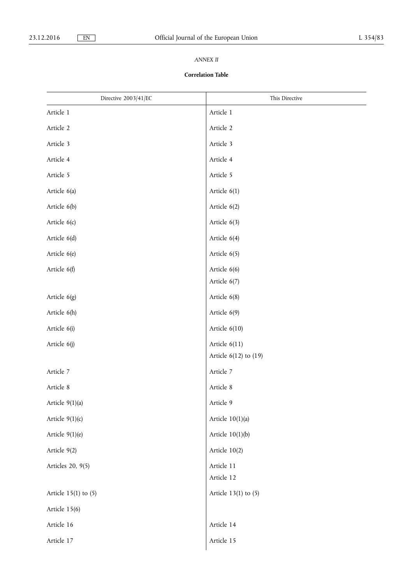# *ANNEX II*

# **Correlation Table**

| Directive 2003/41/EC     | This Directive            |
|--------------------------|---------------------------|
| Article 1                | Article 1                 |
| Article 2                | Article 2                 |
| Article 3                | Article 3                 |
| Article 4                | Article 4                 |
| Article 5                | Article 5                 |
| Article 6(a)             | Article 6(1)              |
| Article 6(b)             | Article 6(2)              |
| Article 6(c)             | Article 6(3)              |
| Article 6(d)             | Article 6(4)              |
| Article 6(e)             | Article 6(5)              |
| Article 6(f)             | Article 6(6)              |
|                          | Article 6(7)              |
| Article 6(g)             | Article 6(8)              |
| Article 6(h)             | Article 6(9)              |
| Article 6(i)             | Article $6(10)$           |
| Article 6(j)             | Article 6(11)             |
|                          | Article $6(12)$ to $(19)$ |
| Article 7                | Article 7                 |
| Article 8                | Article 8                 |
| Article 9(1)(a)          | Article 9                 |
| Article $9(1)(c)$        | Article $10(1)(a)$        |
| Article $9(1)(e)$        | Article $10(1)(b)$        |
| Article 9(2)             | Article 10(2)             |
| Articles 20, 9(5)        | Article 11                |
|                          | Article 12                |
| Article $15(1)$ to $(5)$ | Article $13(1)$ to $(5)$  |
| Article 15(6)            |                           |
| Article 16               | Article 14                |
| Article 17               | Article 15                |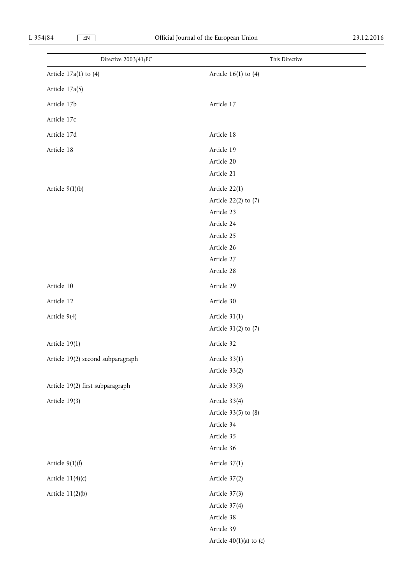| Directive 2003/41/EC              | This Directive            |
|-----------------------------------|---------------------------|
| Article $17a(1)$ to $(4)$         | Article $16(1)$ to $(4)$  |
| Article 17a(5)                    |                           |
| Article 17b                       | Article 17                |
| Article 17c                       |                           |
| Article 17d                       | Article 18                |
| Article 18                        | Article 19                |
|                                   | Article 20                |
|                                   | Article 21                |
| Article $9(1)(b)$                 | Article 22(1)             |
|                                   | Article 22(2) to (7)      |
|                                   | Article 23                |
|                                   | Article 24                |
|                                   | Article 25<br>Article 26  |
|                                   | Article 27                |
|                                   | Article 28                |
| Article 10                        | Article 29                |
| Article 12                        | Article 30                |
| Article 9(4)                      | Article 31(1)             |
|                                   | Article 31(2) to (7)      |
| Article 19(1)                     | Article 32                |
| Article 19(2) second subparagraph | Article 33(1)             |
|                                   | Article 33(2)             |
| Article 19(2) first subparagraph  | Article 33(3)             |
| Article 19(3)                     | Article 33(4)             |
|                                   | Article 33(5) to (8)      |
|                                   | Article 34                |
|                                   | Article 35                |
|                                   | Article 36                |
| Article $9(1)(f)$                 | Article 37(1)             |
| Article $11(4)(c)$                | Article 37(2)             |
| Article $11(2)(b)$                | Article 37(3)             |
|                                   | Article 37(4)             |
|                                   | Article 38                |
|                                   | Article 39                |
|                                   | Article $40(1)(a)$ to (c) |